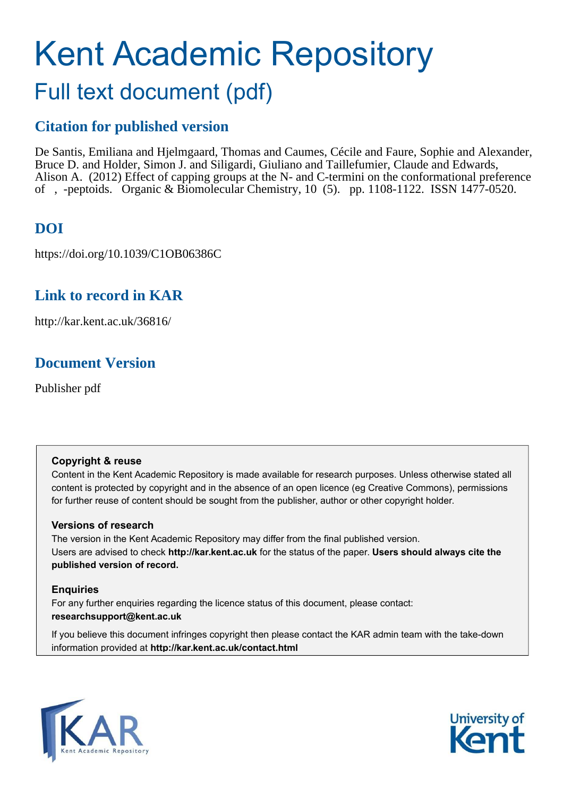# Kent Academic Repository Full text document (pdf)

# **Citation for published version**

De Santis, Emiliana and Hjelmgaard, Thomas and Caumes, Cécile and Faure, Sophie and Alexander, Bruce D. and Holder, Simon J. and Siligardi, Giuliano and Taillefumier, Claude and Edwards, Alison A. (2012) Effect of capping groups at the N- and C-termini on the conformational preference of , -peptoids. Organic & Biomolecular Chemistry, 10 (5). pp. 1108-1122. ISSN 1477-0520.

# **DOI**

https://doi.org/10.1039/C1OB06386C

# **Link to record in KAR**

http://kar.kent.ac.uk/36816/

# **Document Version**

Publisher pdf

# **Copyright & reuse**

Content in the Kent Academic Repository is made available for research purposes. Unless otherwise stated all content is protected by copyright and in the absence of an open licence (eg Creative Commons), permissions for further reuse of content should be sought from the publisher, author or other copyright holder.

# **Versions of research**

The version in the Kent Academic Repository may differ from the final published version. Users are advised to check **http://kar.kent.ac.uk** for the status of the paper. **Users should always cite the published version of record.**

# **Enquiries**

For any further enquiries regarding the licence status of this document, please contact: **researchsupport@kent.ac.uk**

If you believe this document infringes copyright then please contact the KAR admin team with the take-down information provided at **http://kar.kent.ac.uk/contact.html**



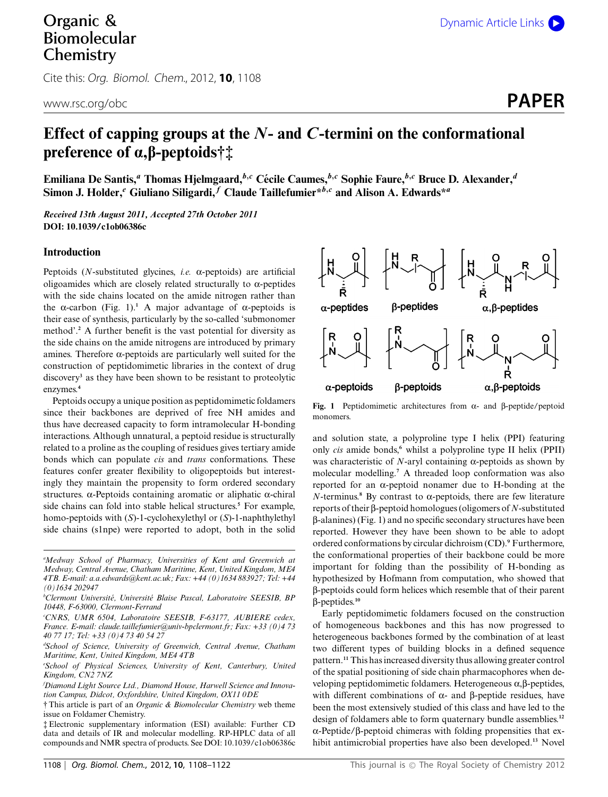# Organic & Biomolecular **Chemistry**

Cite this: Org. Biomol. Chem., 2012, **10**, 1108

# **Effect of capping groups at the** *N***- and** *C***-termini on the conformational preference of a,b-peptoids†‡**

**Emiliana De Santis,***<sup>a</sup>* **Thomas Hjelmgaard,***<sup>b</sup>*,*<sup>c</sup>* **Cecile Caumes, ´** *<sup>b</sup>*,*<sup>c</sup>* **Sophie Faure,***<sup>b</sup>*,*<sup>c</sup>* **Bruce D. Alexander,***<sup>d</sup>* Simon J. Holder,<sup>*e*</sup> Giuliano Siligardi,<sup>*f*</sup> Claude Taillefumier\**b*,*c* and Alison A. Edwards\*<sup>*a*</sup>

*Received 13th August 2011, Accepted 27th October 2011* **DOI: 10.1039/c1ob06386c**

#### **Introduction**

Peptoids (*N*-substituted glycines, *i.e.* a-peptoids) are artificial oligoamides which are closely related structurally to  $\alpha$ -peptides with the side chains located on the amide nitrogen rather than the  $\alpha$ -carbon (Fig. 1).<sup>1</sup> A major advantage of  $\alpha$ -peptoids is their ease of synthesis, particularly by the so-called 'submonomer method'.**<sup>2</sup>** A further benefit is the vast potential for diversity as the side chains on the amide nitrogens are introduced by primary amines. Therefore  $\alpha$ -peptoids are particularly well suited for the construction of peptidomimetic libraries in the context of drug discovery**<sup>3</sup>** as they have been shown to be resistant to proteolytic enzymes.**<sup>4</sup>**

Peptoids occupy a unique position as peptidomimetic foldamers since their backbones are deprived of free NH amides and thus have decreased capacity to form intramolecular H-bonding interactions. Although unnatural, a peptoid residue is structurally related to a proline as the coupling of residues gives tertiary amide bonds which can populate *cis* and *trans* conformations. These features confer greater flexibility to oligopeptoids but interestingly they maintain the propensity to form ordered secondary structures.  $\alpha$ -Peptoids containing aromatic or aliphatic  $\alpha$ -chiral side chains can fold into stable helical structures.**<sup>5</sup>** For example, homo-peptoids with (*S*)-1-cyclohexylethyl or (*S*)-1-naphthylethyl side chains (s1npe) were reported to adopt, both in the solid

*<sup>a</sup>Medway School of Pharmacy, Universities of Kent and Greenwich at Medway, Central Avenue, Chatham Maritime, Kent, United Kingdom, ME4 4TB. E-mail: a.a.edwards@kent.ac.uk; Fax: +44 (0)1634 883927; Tel: +44 (0)1634 202947*

- *<sup>c</sup>CNRS, UMR 6504, Laboratoire SEESIB, F-63177, AUBIERE cedex, France. E-mail: claude.taillefumier@univ-bpclermont.fr; Fax: +33 (0)4 73 40 77 17; Tel: +33 (0)4 73 40 54 27*
- *<sup>d</sup>School of Science, University of Greenwich, Central Avenue, Chatham Maritime, Kent, United Kingdom, ME4 4TB*
- *<sup>e</sup>School of Physical Sciences, University of Kent, Canterbury, United Kingdom, CN2 7NZ*
- *fDiamond Light Source Ltd., Diamond House, Harwell Science and Innovation Campus, Didcot, Oxfordshire, United Kingdom, OX11 0DE*
- † This article is part of an *Organic & Biomolecular Chemistry* web theme issue on Foldamer Chemistry.
- ‡ Electronic supplementary information (ESI) available: Further CD data and details of IR and molecular modelling. RP-HPLC data of all compounds and NMR spectra of products. See DOI: 10.1039/c1ob06386c



Fig. 1 Peptidomimetic architectures from  $\alpha$ - and  $\beta$ -peptide/peptoid monomers.

and solution state, a polyproline type I helix (PPI) featuring only *cis* amide bonds,**<sup>6</sup>** whilst a polyproline type II helix (PPII) was characteristic of  $N$ -aryl containing  $\alpha$ -peptoids as shown by molecular modelling.**<sup>7</sup>** A threaded loop conformation was also reported for an  $\alpha$ -peptoid nonamer due to H-bonding at the  $N$ -terminus.<sup>8</sup> By contrast to  $\alpha$ -peptoids, there are few literature reports of their b-peptoid homologues (oligomers of *N*-substituted  $\beta$ -alanines) (Fig. 1) and no specific secondary structures have been reported. However they have been shown to be able to adopt ordered conformations by circular dichroism (CD).**<sup>9</sup>** Furthermore, the conformational properties of their backbone could be more important for folding than the possibility of H-bonding as hypothesized by Hofmann from computation, who showed that b-peptoids could form helices which resemble that of their parent b-peptides.**<sup>10</sup>**

Early peptidomimetic foldamers focused on the construction of homogeneous backbones and this has now progressed to heterogeneous backbones formed by the combination of at least two different types of building blocks in a defined sequence pattern.**<sup>11</sup>** This has increased diversity thus allowing greater control of the spatial positioning of side chain pharmacophores when developing peptidomimetic foldamers. Heterogeneous  $\alpha$ ,  $\beta$ -peptides, with different combinations of  $\alpha$ - and  $\beta$ -peptide residues, have been the most extensively studied of this class and have led to the design of foldamers able to form quaternary bundle assemblies.**<sup>12</sup>**  $\alpha$ -Peptide/ $\beta$ -peptoid chimeras with folding propensities that exhibit antimicrobial properties have also been developed.**<sup>13</sup>** Novel

*<sup>b</sup>Clermont Universite, Universit ´ e Blaise Pascal, Laboratoire SEESIB, BP ´ 10448, F-63000, Clermont-Ferrand*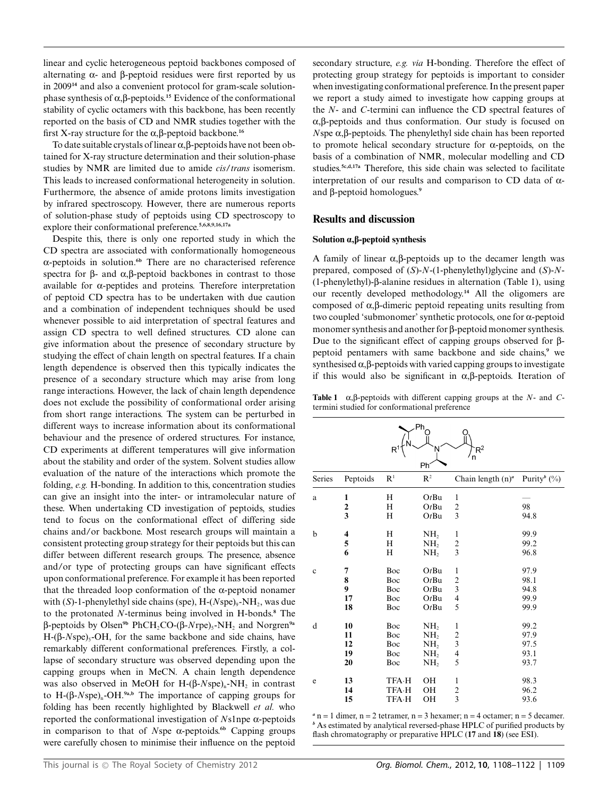linear and cyclic heterogeneous peptoid backbones composed of alternating  $\alpha$ - and  $\beta$ -peptoid residues were first reported by us in 2009**<sup>14</sup>** and also a convenient protocol for gram-scale solutionphase synthesis of  $\alpha$ ,  $\beta$ -peptoids.<sup>15</sup> Evidence of the conformational stability of cyclic octamers with this backbone, has been recently reported on the basis of CD and NMR studies together with the first X-ray structure for the  $\alpha$ ,  $\beta$ -peptoid backbone.<sup>16</sup>

To date suitable crystals of linear  $\alpha$ ,  $\beta$ -peptoids have not been obtained for X-ray structure determination and their solution-phase studies by NMR are limited due to amide *cis*/*trans* isomerism. This leads to increased conformational heterogeneity in solution. Furthermore, the absence of amide protons limits investigation by infrared spectroscopy. However, there are numerous reports of solution-phase study of peptoids using CD spectroscopy to explore their conformational preference.**5,6,8,9,16,17a**

Despite this, there is only one reported study in which the CD spectra are associated with conformationally homogeneous a-peptoids in solution.**6b** There are no characterised reference spectra for  $\beta$ - and  $\alpha, \beta$ -peptoid backbones in contrast to those available for  $\alpha$ -peptides and proteins. Therefore interpretation of peptoid CD spectra has to be undertaken with due caution and a combination of independent techniques should be used whenever possible to aid interpretation of spectral features and assign CD spectra to well defined structures. CD alone can give information about the presence of secondary structure by studying the effect of chain length on spectral features. If a chain length dependence is observed then this typically indicates the presence of a secondary structure which may arise from long range interactions. However, the lack of chain length dependence does not exclude the possibility of conformational order arising from short range interactions. The system can be perturbed in different ways to increase information about its conformational behaviour and the presence of ordered structures. For instance, CD experiments at different temperatures will give information about the stability and order of the system. Solvent studies allow evaluation of the nature of the interactions which promote the folding, *e.g.* H-bonding. In addition to this, concentration studies can give an insight into the inter- or intramolecular nature of these. When undertaking CD investigation of peptoids, studies tend to focus on the conformational effect of differing side chains and/or backbone. Most research groups will maintain a consistent protecting group strategy for their peptoids but this can differ between different research groups. The presence, absence and/or type of protecting groups can have significant effects upon conformational preference. For example it has been reported that the threaded loop conformation of the  $\alpha$ -peptoid nonamer with (*S*)-1-phenylethyl side chains (spe), H-(*N*spe)<sub>9</sub>-NH<sub>2</sub>, was due to the protonated *N*-terminus being involved in H-bonds.**<sup>8</sup>** The  $\beta$ -peptoids by Olsen<sup>9b</sup> PhCH<sub>2</sub>CO-( $\beta$ -*N*rpe)<sub>5</sub>-NH<sub>2</sub> and Norgren<sup>9a</sup>  $H-(\beta-Nspe)_{5}-OH$ , for the same backbone and side chains, have remarkably different conformational preferences. Firstly, a collapse of secondary structure was observed depending upon the capping groups when in MeCN. A chain length dependence was also observed in MeOH for H-(β-*N*spe)<sub>n</sub>-NH<sub>2</sub> in contrast to  $H-(\beta-Nspe)_{n}$ -OH.<sup>9a,b</sup> The importance of capping groups for folding has been recently highlighted by Blackwell *et al.* who reported the conformational investigation of *N*s1npe a-peptoids in comparison to that of *N*spe  $\alpha$ -peptoids.<sup>6b</sup> Capping groups were carefully chosen to minimise their influence on the peptoid secondary structure, *e.g. via* H-bonding. Therefore the effect of protecting group strategy for peptoids is important to consider when investigating conformational preference. In the present paper we report a study aimed to investigate how capping groups at the *N*- and *C*-termini can influence the CD spectral features of  $\alpha$ ,  $\beta$ -peptoids and thus conformation. Our study is focused on  $N$ spe  $\alpha$ , $\beta$ -peptoids. The phenylethyl side chain has been reported to promote helical secondary structure for  $\alpha$ -peptoids, on the basis of a combination of NMR, molecular modelling and CD studies.**5c,d,17a** Therefore, this side chain was selected to facilitate interpretation of our results and comparison to CD data of  $\alpha$ and b-peptoid homologues.**<sup>9</sup>**

#### **Results and discussion**

#### **Solution a,b-peptoid synthesis**

A family of linear  $\alpha$ ,  $\beta$ -peptoids up to the decamer length was prepared, composed of (*S*)-*N*-(1-phenylethyl)glycine and (*S*)-*N*- (1-phenylethyl)-b-alanine residues in alternation (Table 1), using our recently developed methodology.**<sup>14</sup>** All the oligomers are composed of  $\alpha$ , $\beta$ -dimeric peptoid repeating units resulting from two coupled 'submonomer' synthetic protocols, one for a-peptoid monomer synthesis and another for  $\beta$ -peptoid monomer synthesis. Due to the significant effect of capping groups observed for  $\beta$ peptoid pentamers with same backbone and side chains,**<sup>9</sup>** we synthesised  $\alpha, \beta$ -peptoids with varied capping groups to investigate if this would also be significant in  $\alpha$ ,  $\beta$ -peptoids. Iteration of

**Table 1**  $\alpha$ ,  $\beta$ -peptoids with different capping groups at the *N*- and *C*termini studied for conformational preference

| Ph<br>$R^2$<br>$\mathsf{R}^1$<br>N<br>Ph |                            |                                              |                                                                                             |                                                                    |                                      |  |
|------------------------------------------|----------------------------|----------------------------------------------|---------------------------------------------------------------------------------------------|--------------------------------------------------------------------|--------------------------------------|--|
| Series                                   | Peptoids                   | R <sup>1</sup>                               | R <sup>2</sup>                                                                              | Chain length $(n)^a$                                               | Purity <sup>b</sup> $(\%)$           |  |
| a                                        | 1<br>$\frac{2}{3}$         | H<br>H<br>H                                  | OtBu<br>OtBu<br>OtBu                                                                        | $\mathbf{1}$<br>$\overline{\mathbf{c}}$<br>3                       | 98<br>94.8                           |  |
| b                                        | 4<br>5<br>6                | H<br>H<br>H                                  | NH <sub>2</sub><br>NH,<br>NH <sub>2</sub>                                                   | 1<br>$\overline{\mathbf{c}}$<br>$\overline{3}$                     | 99.9<br>99.2<br>96.8                 |  |
| $\mathbf c$                              | 7<br>8<br>9<br>17<br>18    | Boc<br>Boc<br>Boc<br>Boc<br>Boc              | OtBu<br>OtBu<br>OtBu<br>OtBu<br>OtBu                                                        | $\mathbf{1}$<br>$\frac{2}{3}$<br>4<br>5                            | 97.9<br>98.1<br>94.8<br>99.9<br>99.9 |  |
| d                                        | 10<br>11<br>12<br>19<br>20 | Boc<br>Boc<br>Boc<br>Boc<br>Boc              | NH <sub>2</sub><br>NH <sub>2</sub><br>NH <sub>2</sub><br>NH <sub>2</sub><br>NH <sub>2</sub> | 1<br>$\overline{\mathbf{c}}$<br>3<br>$\overline{\mathcal{L}}$<br>5 | 99.2<br>97.9<br>97.5<br>93.1<br>93.7 |  |
| e                                        | 13<br>14<br>15             | <b>TFA-H</b><br><b>TFA-H</b><br><b>TFA-H</b> | OH<br>OН<br>OH                                                                              | $\mathbf{1}$<br>$\overline{\mathbf{c}}$<br>$\overline{3}$          | 98.3<br>96.2<br>93.6                 |  |

 $a$  n = 1 dimer, n = 2 tetramer, n = 3 hexamer; n = 4 octamer; n = 5 decamer. *<sup>b</sup>* As estimated by analytical reversed-phase HPLC of purified products by flash chromatography or preparative HPLC (**17** and **18**) (see ESI).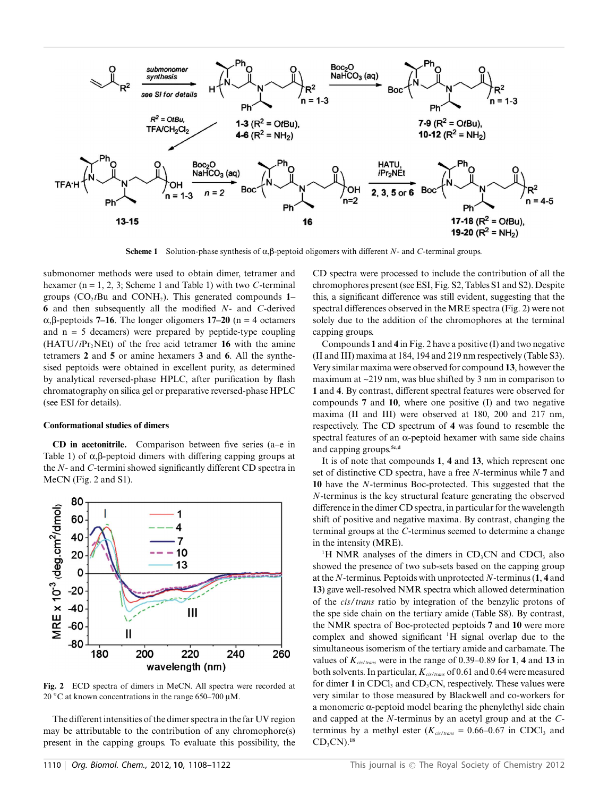

**Scheme 1** Solution-phase synthesis of  $\alpha, \beta$ -peptoid oligomers with different *N*- and *C*-terminal groups.

submonomer methods were used to obtain dimer, tetramer and hexamer (n = 1, 2, 3; Scheme 1 and Table 1) with two *C*-terminal groups  $(CO<sub>2</sub>tBu$  and  $CONH<sub>2</sub>)$ . This generated compounds 1– **6** and then subsequently all the modified *N*- and *C*-derived  $\alpha, \beta$ -peptoids **7–16**. The longer oligomers **17–20** (n = 4 octamers and  $n = 5$  decamers) were prepared by peptide-type coupling  $(HATU/iPr<sub>2</sub>NEt)$  of the free acid tetramer 16 with the amine tetramers **2** and **5** or amine hexamers **3** and **6**. All the synthesised peptoids were obtained in excellent purity, as determined by analytical reversed-phase HPLC, after purification by flash chromatography on silica gel or preparative reversed-phase HPLC (see ESI for details).

#### **Conformational studies of dimers**

**CD in acetonitrile.** Comparison between five series (a–e in Table 1) of  $\alpha$ ,  $\beta$ -peptoid dimers with differing capping groups at the *N*- and *C*-termini showed significantly different CD spectra in MeCN (Fig. 2 and S1).



**Fig. 2** ECD spectra of dimers in MeCN. All spectra were recorded at 20 °C at known concentrations in the range 650–700  $\mu$ M.

The different intensities of the dimer spectra in the far UV region may be attributable to the contribution of any chromophore(s) present in the capping groups. To evaluate this possibility, the CD spectra were processed to include the contribution of all the chromophores present (see ESI, Fig. S2, Tables S1 and S2). Despite this, a significant difference was still evident, suggesting that the spectral differences observed in the MRE spectra (Fig. 2) were not solely due to the addition of the chromophores at the terminal capping groups.

Compounds **1** and **4** in Fig. 2 have a positive (I) and two negative (II and III) maxima at 184, 194 and 219 nm respectively (Table S3). Very similar maxima were observed for compound **13**, however the maximum at ~219 nm, was blue shifted by 3 nm in comparison to **1** and **4**. By contrast, different spectral features were observed for compounds **7** and **10**, where one positive (I) and two negative maxima (II and III) were observed at 180, 200 and 217 nm, respectively. The CD spectrum of **4** was found to resemble the spectral features of an  $\alpha$ -peptoid hexamer with same side chains and capping groups.**5c,d**

It is of note that compounds **1**, **4** and **13**, which represent one set of distinctive CD spectra, have a free *N*-terminus while **7** and **10** have the *N*-terminus Boc-protected. This suggested that the *N*-terminus is the key structural feature generating the observed difference in the dimer CD spectra, in particular for the wavelength shift of positive and negative maxima. By contrast, changing the terminal groups at the *C*-terminus seemed to determine a change in the intensity (MRE).

<sup>1</sup>H NMR analyses of the dimers in  $CD<sub>3</sub>CN$  and CDCl<sub>3</sub> also showed the presence of two sub-sets based on the capping group at the *N*-terminus. Peptoids with unprotected *N*-terminus (**1**, **4** and **13**) gave well-resolved NMR spectra which allowed determination of the *cis*/*trans* ratio by integration of the benzylic protons of the spe side chain on the tertiary amide (Table S8). By contrast, the NMR spectra of Boc-protected peptoids **7** and **10** were more complex and showed significant <sup>1</sup>H signal overlap due to the simultaneous isomerism of the tertiary amide and carbamate. The values of *Kcis*/*trans* were in the range of 0.39–0.89 for **1**, **4** and **13** in both solvents. In particular, *Kcis*/*trans* of 0.61 and 0.64 were measured for dimer 1 in CDCl<sub>3</sub> and CD<sub>3</sub>CN, respectively. These values were very similar to those measured by Blackwell and co-workers for a monomeric  $\alpha$ -peptoid model bearing the phenylethyl side chain and capped at the *N*-terminus by an acetyl group and at the *C*terminus by a methyl ester ( $K_{cis/trans}$  = 0.66–0.67 in CDCl<sub>3</sub> and CD3CN).**<sup>18</sup>**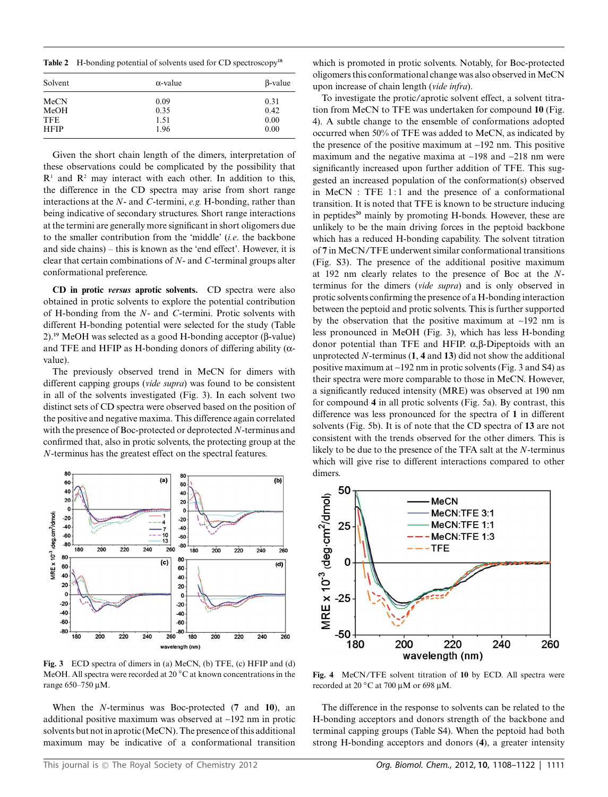**Table 2** H-bonding potential of solvents used for CD spectroscopy**<sup>18</sup>**

| Solvent     | $\alpha$ -value | $\beta$ -value |  |
|-------------|-----------------|----------------|--|
| MeCN        | 0.09            | 0.31           |  |
| MeOH        | 0.35            | 0.42           |  |
| <b>TFE</b>  | 1.51            | 0.00           |  |
| <b>HFIP</b> | 1.96            | 0.00           |  |

Given the short chain length of the dimers, interpretation of these observations could be complicated by the possibility that  $R<sup>1</sup>$  and  $R<sup>2</sup>$  may interact with each other. In addition to this, the difference in the CD spectra may arise from short range interactions at the *N*- and *C*-termini, *e.g.* H-bonding, rather than being indicative of secondary structures. Short range interactions at the termini are generally more significant in short oligomers due to the smaller contribution from the 'middle' (*i.e*. the backbone and side chains) – this is known as the 'end effect'. However, it is clear that certain combinations of *N*- and *C*-terminal groups alter conformational preference.

**CD in protic** *versus* **aprotic solvents.** CD spectra were also obtained in protic solvents to explore the potential contribution of H-bonding from the *N*- and *C*-termini. Protic solvents with different H-bonding potential were selected for the study (Table  $2)$ .<sup>19</sup> MeOH was selected as a good H-bonding acceptor (β-value) and TFE and HFIP as H-bonding donors of differing ability ( $\alpha$ value).

The previously observed trend in MeCN for dimers with different capping groups (*vide supra*) was found to be consistent in all of the solvents investigated (Fig. 3). In each solvent two distinct sets of CD spectra were observed based on the position of the positive and negative maxima. This difference again correlated with the presence of Boc-protected or deprotected *N*-terminus and confirmed that, also in protic solvents, the protecting group at the *N*-terminus has the greatest effect on the spectral features.



**Fig. 3** ECD spectra of dimers in (a) MeCN, (b) TFE, (c) HFIP and (d) MeOH. All spectra were recorded at 20 ◦C at known concentrations in the range 650-750 µM.

When the *N*-terminus was Boc-protected (**7** and **10**), an additional positive maximum was observed at ~192 nm in protic solvents but not in aprotic (MeCN). The presence of this additional maximum may be indicative of a conformational transition

which is promoted in protic solvents. Notably, for Boc-protected oligomers this conformational change was also observed in MeCN upon increase of chain length (*vide infra*).

To investigate the protic/aprotic solvent effect, a solvent titration from MeCN to TFE was undertaken for compound **10** (Fig. 4). A subtle change to the ensemble of conformations adopted occurred when 50% of TFE was added to MeCN, as indicated by the presence of the positive maximum at  $\sim$ 192 nm. This positive maximum and the negative maxima at  $\sim$ 198 and  $\sim$ 218 nm were significantly increased upon further addition of TFE. This suggested an increased population of the conformation(s) observed in  $MeCN$ : TFE 1:1 and the presence of a conformational transition. It is noted that TFE is known to be structure inducing in peptides**<sup>20</sup>** mainly by promoting H-bonds. However, these are unlikely to be the main driving forces in the peptoid backbone which has a reduced H-bonding capability. The solvent titration of **7** in MeCN/TFE underwent similar conformational transitions (Fig. S3). The presence of the additional positive maximum at 192 nm clearly relates to the presence of Boc at the *N*terminus for the dimers (*vide supra*) and is only observed in protic solvents confirming the presence of a H-bonding interaction between the peptoid and protic solvents. This is further supported by the observation that the positive maximum at  $\sim$ 192 nm is less pronounced in MeOH (Fig. 3), which has less H-bonding donor potential than TFE and HFIP.  $\alpha$ ,  $\beta$ -Dipeptoids with an unprotected *N*-terminus (**1**, **4** and **13**) did not show the additional positive maximum at ~192 nm in protic solvents (Fig. 3 and S4) as their spectra were more comparable to those in MeCN. However, a significantly reduced intensity (MRE) was observed at 190 nm for compound **4** in all protic solvents (Fig. 5a). By contrast, this difference was less pronounced for the spectra of **1** in different solvents (Fig. 5b). It is of note that the CD spectra of **13** are not consistent with the trends observed for the other dimers. This is likely to be due to the presence of the TFA salt at the *N*-terminus which will give rise to different interactions compared to other dimers.



**Fig. 4** MeCN/TFE solvent titration of **10** by ECD. All spectra were recorded at 20 $\degree$ C at 700 µM or 698 µM.

The difference in the response to solvents can be related to the H-bonding acceptors and donors strength of the backbone and terminal capping groups (Table S4). When the peptoid had both strong H-bonding acceptors and donors (**4**), a greater intensity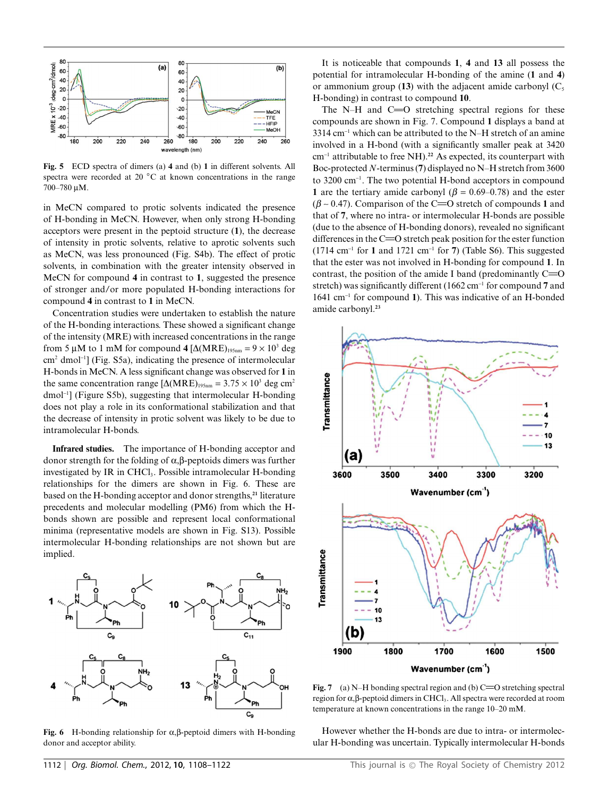

**Fig. 5** ECD spectra of dimers (a) **4** and (b) **1** in different solvents. All spectra were recorded at 20 °C at known concentrations in the range 700-780 μM.

in MeCN compared to protic solvents indicated the presence of H-bonding in MeCN. However, when only strong H-bonding acceptors were present in the peptoid structure (**1**), the decrease of intensity in protic solvents, relative to aprotic solvents such as MeCN, was less pronounced (Fig. S4b). The effect of protic solvents, in combination with the greater intensity observed in MeCN for compound **4** in contrast to **1**, suggested the presence of stronger and/or more populated H-bonding interactions for compound **4** in contrast to **1** in MeCN.

Concentration studies were undertaken to establish the nature of the H-bonding interactions. These showed a significant change of the intensity (MRE) with increased concentrations in the range from 5  $\mu$ M to 1 mM for compound 4  $[\Delta(MRE)_{195nm} = 9 \times 10^3$  deg cm<sup>2</sup> dmol-<sup>1</sup> ] (Fig. S5a), indicating the presence of intermolecular H-bonds in MeCN. A less significant change was observed for **1** in the same concentration range  $[\Delta(MRE)_{195nm} = 3.75 \times 10^3$  deg cm<sup>2</sup> dmol-<sup>1</sup> ] (Figure S5b), suggesting that intermolecular H-bonding does not play a role in its conformational stabilization and that the decrease of intensity in protic solvent was likely to be due to intramolecular H-bonds.

**Infrared studies.** The importance of H-bonding acceptor and donor strength for the folding of  $\alpha$ ,  $\beta$ -peptoids dimers was further investigated by IR in CHCl<sub>3</sub>. Possible intramolecular H-bonding relationships for the dimers are shown in Fig. 6. These are based on the H-bonding acceptor and donor strengths,**<sup>21</sup>** literature precedents and molecular modelling (PM6) from which the Hbonds shown are possible and represent local conformational minima (representative models are shown in Fig. S13). Possible intermolecular H-bonding relationships are not shown but are implied.



**Fig. 6** H-bonding relationship for  $\alpha$ ,  $\beta$ -peptoid dimers with H-bonding donor and acceptor ability.

It is noticeable that compounds **1**, **4** and **13** all possess the potential for intramolecular H-bonding of the amine (**1** and **4**) or ammonium group  $(13)$  with the adjacent amide carbonyl  $(C_5)$ H-bonding) in contrast to compound **10**.

The N–H and  $C = 0$  stretching spectral regions for these compounds are shown in Fig. 7. Compound **1** displays a band at  $3314 \text{ cm}^{-1}$  which can be attributed to the N–H stretch of an amine involved in a H-bond (with a significantly smaller peak at 3420 cm-<sup>1</sup> attributable to free NH).**<sup>22</sup>** As expected, its counterpart with Boc-protected *N*-terminus (**7**) displayed no N–H stretch from 3600 to 3200 cm-<sup>1</sup> . The two potential H-bond acceptors in compound **1** are the tertiary amide carbonyl ( $\beta = 0.69{\text -}0.78$ ) and the ester ( $\beta$  ~ 0.47). Comparison of the C=O stretch of compounds 1 and that of **7**, where no intra- or intermolecular H-bonds are possible (due to the absence of H-bonding donors), revealed no significant differences in the  $C = 0$  stretch peak position for the ester function  $(1714 \text{ cm}^{-1} \text{ for } 1 \text{ and } 1721 \text{ cm}^{-1} \text{ for } 7)$  (Table S6). This suggested that the ester was not involved in H-bonding for compound **1**. In contrast, the position of the amide I band (predominantly  $C = 0$ stretch) was significantly different (1662 cm-<sup>1</sup> for compound **7** and 1641 cm-<sup>1</sup> for compound **1**). This was indicative of an H-bonded amide carbonyl.**<sup>23</sup>**



**Fig. 7** (a) N–H bonding spectral region and (b)  $C=O$  stretching spectral region for  $\alpha$ ,  $\beta$ -peptoid dimers in CHCl<sub>3</sub>. All spectra were recorded at room temperature at known concentrations in the range 10–20 mM.

However whether the H-bonds are due to intra- or intermolecular H-bonding was uncertain. Typically intermolecular H-bonds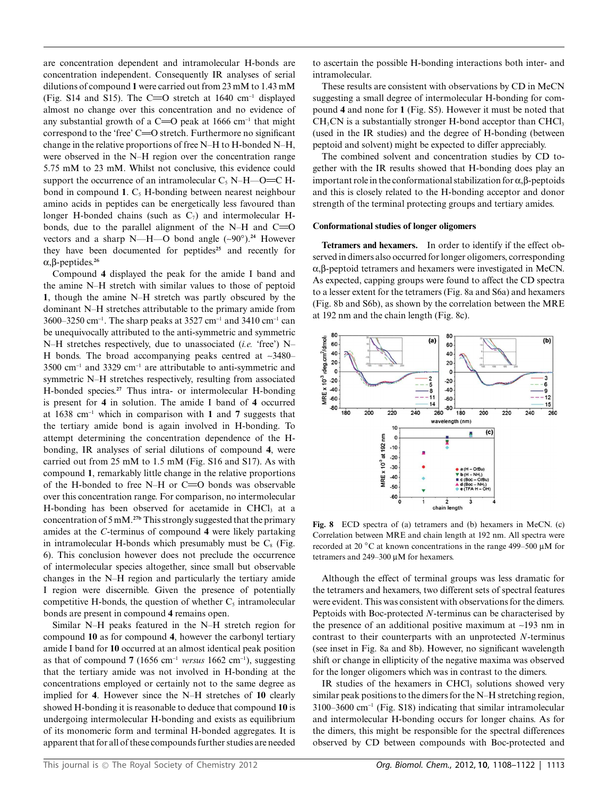are concentration dependent and intramolecular H-bonds are concentration independent. Consequently IR analyses of serial dilutions of compound **1** were carried out from 23 mM to 1.43 mM (Fig. S14 and S15). The C= $O$  stretch at 1640 cm<sup>-1</sup> displayed almost no change over this concentration and no evidence of any substantial growth of a C=O peak at 1666 cm<sup>-1</sup> that might correspond to the 'free'  $C = 0$  stretch. Furthermore no significant change in the relative proportions of free N–H to H-bonded N–H, were observed in the N–H region over the concentration range 5.75 mM to 23 mM. Whilst not conclusive, this evidence could support the occurrence of an intramolecular  $C_5$  N–H––O=C Hbond in compound 1. C<sub>5</sub> H-bonding between nearest neighbour amino acids in peptides can be energetically less favoured than longer H-bonded chains (such as  $C_7$ ) and intermolecular Hbonds, due to the parallel alignment of the N–H and  $C = 0$ vectors and a sharp N—H—O bond angle  $({\sim}90^{\circ})$ .<sup>24</sup> However they have been documented for peptides**<sup>25</sup>** and recently for  $\alpha$ ,  $\beta$ -peptides.<sup>26</sup>

Compound **4** displayed the peak for the amide I band and the amine N–H stretch with similar values to those of peptoid **1**, though the amine N–H stretch was partly obscured by the dominant N–H stretches attributable to the primary amide from 3600–3250 cm<sup>-1</sup>. The sharp peaks at 3527 cm<sup>-1</sup> and 3410 cm<sup>-1</sup> can be unequivocally attributed to the anti-symmetric and symmetric N–H stretches respectively, due to unassociated (*i.e.* 'free') N– H bonds. The broad accompanying peaks centred at  $\sim$ 3480– 3500 cm-<sup>1</sup> and 3329 cm-<sup>1</sup> are attributable to anti-symmetric and symmetric N–H stretches respectively, resulting from associated H-bonded species.**<sup>27</sup>** Thus intra- or intermolecular H-bonding is present for **4** in solution. The amide I band of **4** occurred at 1638 cm-<sup>1</sup> which in comparison with **1** and **7** suggests that the tertiary amide bond is again involved in H-bonding. To attempt determining the concentration dependence of the Hbonding, IR analyses of serial dilutions of compound **4**, were carried out from 25 mM to 1.5 mM (Fig. S16 and S17). As with compound **1**, remarkably little change in the relative proportions of the H-bonded to free N–H or  $C = O$  bonds was observable over this concentration range. For comparison, no intermolecular H-bonding has been observed for acetamide in CHCl<sub>3</sub> at a concentration of 5 mM.**27b** This strongly suggested that the primary amides at the *C*-terminus of compound **4** were likely partaking in intramolecular H-bonds which presumably must be  $C_8$  (Fig. 6). This conclusion however does not preclude the occurrence of intermolecular species altogether, since small but observable changes in the N–H region and particularly the tertiary amide I region were discernible. Given the presence of potentially competitive H-bonds, the question of whether  $C_5$  intramolecular bonds are present in compound **4** remains open.

Similar N–H peaks featured in the N–H stretch region for compound **10** as for compound **4**, however the carbonyl tertiary amide I band for **10** occurred at an almost identical peak position as that of compound  $7(1656 \text{ cm}^{-1} \text{ versus } 1662 \text{ cm}^{-1})$ , suggesting that the tertiary amide was not involved in H-bonding at the concentrations employed or certainly not to the same degree as implied for **4**. However since the N–H stretches of **10** clearly showed H-bonding it is reasonable to deduce that compound **10** is undergoing intermolecular H-bonding and exists as equilibrium of its monomeric form and terminal H-bonded aggregates. It is apparent that for all of these compounds further studies are needed to ascertain the possible H-bonding interactions both inter- and intramolecular.

These results are consistent with observations by CD in MeCN suggesting a small degree of intermolecular H-bonding for compound **4** and none for **1** (Fig. S5). However it must be noted that  $CH<sub>3</sub>CN$  is a substantially stronger H-bond acceptor than CHCl $<sub>3</sub>$ </sub> (used in the IR studies) and the degree of H-bonding (between peptoid and solvent) might be expected to differ appreciably.

The combined solvent and concentration studies by CD together with the IR results showed that H-bonding does play an important role in the conformational stabilization for  $\alpha$ ,  $\beta$ -peptoids and this is closely related to the H-bonding acceptor and donor strength of the terminal protecting groups and tertiary amides.

#### **Conformational studies of longer oligomers**

**Tetramers and hexamers.** In order to identify if the effect observed in dimers also occurred for longer oligomers, corresponding  $\alpha$ , $\beta$ -peptoid tetramers and hexamers were investigated in MeCN. As expected, capping groups were found to affect the CD spectra to a lesser extent for the tetramers (Fig. 8a and S6a) and hexamers (Fig. 8b and S6b), as shown by the correlation between the MRE at 192 nm and the chain length (Fig. 8c).



**Fig. 8** ECD spectra of (a) tetramers and (b) hexamers in MeCN. (c) Correlation between MRE and chain length at 192 nm. All spectra were recorded at 20  $\degree$ C at known concentrations in the range 499–500 µM for tetramers and  $249-300 \mu M$  for hexamers.

Although the effect of terminal groups was less dramatic for the tetramers and hexamers, two different sets of spectral features were evident. This was consistent with observations for the dimers. Peptoids with Boc-protected *N*-terminus can be characterised by the presence of an additional positive maximum at  $\sim$ 193 nm in contrast to their counterparts with an unprotected *N*-terminus (see inset in Fig. 8a and 8b). However, no significant wavelength shift or change in ellipticity of the negative maxima was observed for the longer oligomers which was in contrast to the dimers.

IR studies of the hexamers in CHCl3 solutions showed very similar peak positions to the dimers for the N–H stretching region, 3100–3600 cm-<sup>1</sup> (Fig. S18) indicating that similar intramolecular and intermolecular H-bonding occurs for longer chains. As for the dimers, this might be responsible for the spectral differences observed by CD between compounds with Boc-protected and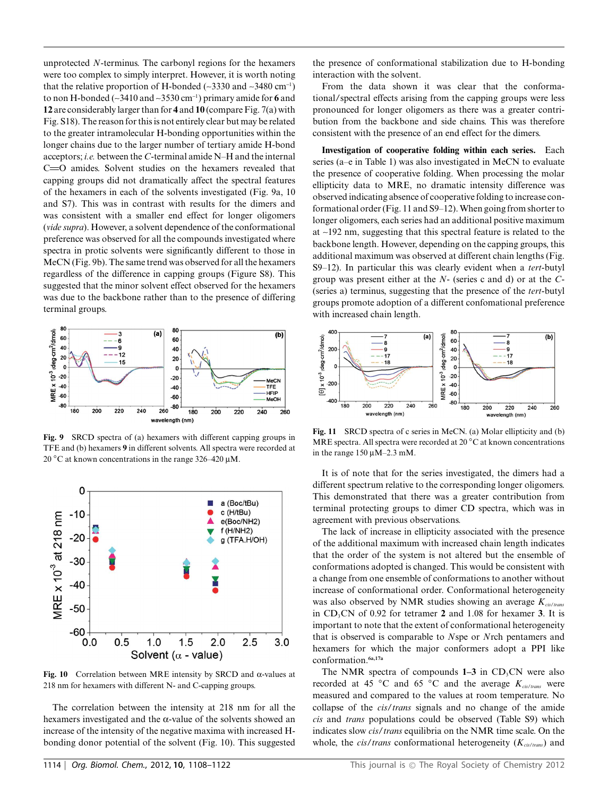unprotected *N*-terminus. The carbonyl regions for the hexamers were too complex to simply interpret. However, it is worth noting that the relative proportion of H-bonded ( $\sim$ 3330 and  $\sim$ 3480 cm<sup>-1</sup>) to non H-bonded (~3410 and ~3530 cm-<sup>1</sup> ) primary amide for **6** and **12** are considerably larger than for **4** and **10** (compare Fig. 7(a) with Fig. S18). The reason for this is not entirely clear but may be related to the greater intramolecular H-bonding opportunities within the longer chains due to the larger number of tertiary amide H-bond acceptors; *i.e.* between the *C*-terminal amide N–H and the internal C=O amides. Solvent studies on the hexamers revealed that capping groups did not dramatically affect the spectral features of the hexamers in each of the solvents investigated (Fig. 9a, 10 and S7). This was in contrast with results for the dimers and was consistent with a smaller end effect for longer oligomers (*vide supra*). However, a solvent dependence of the conformational preference was observed for all the compounds investigated where spectra in protic solvents were significantly different to those in MeCN (Fig. 9b). The same trend was observed for all the hexamers regardless of the difference in capping groups (Figure S8). This suggested that the minor solvent effect observed for the hexamers was due to the backbone rather than to the presence of differing terminal groups.



**Fig. 9** SRCD spectra of (a) hexamers with different capping groups in TFE and (b) hexamers **9** in different solvents. All spectra were recorded at 20  $^{\circ}$ C at known concentrations in the range 326–420 µM.



**Fig. 10** Correlation between MRE intensity by SRCD and  $\alpha$ -values at 218 nm for hexamers with different N- and C-capping groups.

The correlation between the intensity at 218 nm for all the hexamers investigated and the  $\alpha$ -value of the solvents showed an increase of the intensity of the negative maxima with increased Hbonding donor potential of the solvent (Fig. 10). This suggested

the presence of conformational stabilization due to H-bonding interaction with the solvent.

From the data shown it was clear that the conformational/spectral effects arising from the capping groups were less pronounced for longer oligomers as there was a greater contribution from the backbone and side chains. This was therefore consistent with the presence of an end effect for the dimers.

**Investigation of cooperative folding within each series.** Each series (a–e in Table 1) was also investigated in MeCN to evaluate the presence of cooperative folding. When processing the molar ellipticity data to MRE, no dramatic intensity difference was observed indicating absence of cooperative folding to increase conformational order (Fig. 11 and S9–12).When going from shorter to longer oligomers, each series had an additional positive maximum at ~192 nm, suggesting that this spectral feature is related to the backbone length. However, depending on the capping groups, this additional maximum was observed at different chain lengths (Fig. S9–12). In particular this was clearly evident when a *tert*-butyl group was present either at the *N*- (series c and d) or at the *C*- (series a) terminus, suggesting that the presence of the *tert*-butyl groups promote adoption of a different confomational preference with increased chain length.



**Fig. 11** SRCD spectra of c series in MeCN. (a) Molar ellipticity and (b) MRE spectra. All spectra were recorded at 20 ◦C at known concentrations in the range  $150 \mu M - 2.3 \text{ mM}$ .

It is of note that for the series investigated, the dimers had a different spectrum relative to the corresponding longer oligomers. This demonstrated that there was a greater contribution from terminal protecting groups to dimer CD spectra, which was in agreement with previous observations.

The lack of increase in ellipticity associated with the presence of the additional maximum with increased chain length indicates that the order of the system is not altered but the ensemble of conformations adopted is changed. This would be consistent with a change from one ensemble of conformations to another without increase of conformational order. Conformational heterogeneity was also observed by NMR studies showing an average *Kcis*/*trans* in CD3CN of 0.92 for tetramer **2** and 1.08 for hexamer **3**. It is important to note that the extent of conformational heterogeneity that is observed is comparable to *N*spe or *N*rch pentamers and hexamers for which the major conformers adopt a PPI like conformation.**6a,17a**

The NMR spectra of compounds  $1-3$  in CD<sub>3</sub>CN were also recorded at 45 ◦C and 65 ◦C and the average *Kcis*/*trans* were measured and compared to the values at room temperature. No collapse of the *cis*/*trans* signals and no change of the amide *cis* and *trans* populations could be observed (Table S9) which indicates slow *cis*/*trans* equilibria on the NMR time scale. On the whole, the *cis*/*trans* conformational heterogeneity (*Kcis*/*trans*) and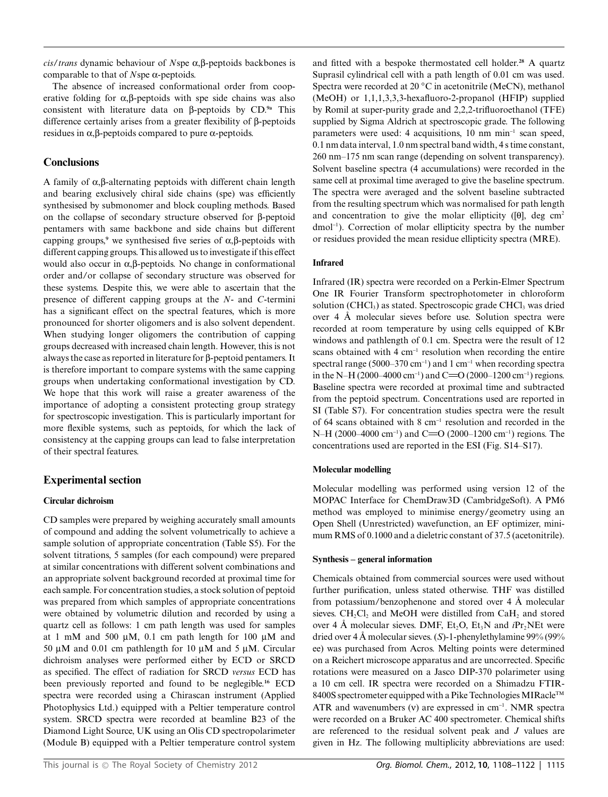$\frac{cis}{trans}$  dynamic behaviour of *N*spe  $\alpha$ ,  $\beta$ -peptoids backbones is comparable to that of *N*spe a-peptoids.

The absence of increased conformational order from cooperative folding for  $\alpha$ ,  $\beta$ -peptoids with spe side chains was also consistent with literature data on b-peptoids by CD.**9a** This difference certainly arises from a greater flexibility of  $\beta$ -peptoids residues in  $\alpha$ ,  $\beta$ -peptoids compared to pure  $\alpha$ -peptoids.

### **Conclusions**

A family of  $\alpha$ ,  $\beta$ -alternating peptoids with different chain length and bearing exclusively chiral side chains (spe) was efficiently synthesised by submonomer and block coupling methods. Based on the collapse of secondary structure observed for  $\beta$ -peptoid pentamers with same backbone and side chains but different capping groups,<sup>9</sup> we synthesised five series of  $\alpha$ , $\beta$ -peptoids with different capping groups. This allowed us to investigate if this effect would also occur in  $\alpha$ , $\beta$ -peptoids. No change in conformational order and/or collapse of secondary structure was observed for these systems. Despite this, we were able to ascertain that the presence of different capping groups at the *N*- and *C*-termini has a significant effect on the spectral features, which is more pronounced for shorter oligomers and is also solvent dependent. When studying longer oligomers the contribution of capping groups decreased with increased chain length. However, this is not always the case as reported in literature for  $\beta$ -peptoid pentamers. It is therefore important to compare systems with the same capping groups when undertaking conformational investigation by CD. We hope that this work will raise a greater awareness of the importance of adopting a consistent protecting group strategy for spectroscopic investigation. This is particularly important for more flexible systems, such as peptoids, for which the lack of consistency at the capping groups can lead to false interpretation of their spectral features.

### **Experimental section**

### **Circular dichroism**

CD samples were prepared by weighing accurately small amounts of compound and adding the solvent volumetrically to achieve a sample solution of appropriate concentration (Table S5). For the solvent titrations, 5 samples (for each compound) were prepared at similar concentrations with different solvent combinations and an appropriate solvent background recorded at proximal time for each sample. For concentration studies, a stock solution of peptoid was prepared from which samples of appropriate concentrations were obtained by volumetric dilution and recorded by using a quartz cell as follows: 1 cm path length was used for samples at 1 mM and 500  $\mu$ M, 0.1 cm path length for 100  $\mu$ M and 50  $\mu$ M and 0.01 cm pathlength for 10  $\mu$ M and 5  $\mu$ M. Circular dichroism analyses were performed either by ECD or SRCD as specified. The effect of radiation for SRCD *versus* ECD has been previously reported and found to be neglegible.**<sup>16</sup>** ECD spectra were recorded using a Chirascan instrument (Applied Photophysics Ltd.) equipped with a Peltier temperature control system. SRCD spectra were recorded at beamline B23 of the Diamond Light Source, UK using an Olis CD spectropolarimeter (Module B) equipped with a Peltier temperature control system and fitted with a bespoke thermostated cell holder.**<sup>28</sup>** A quartz Suprasil cylindrical cell with a path length of 0.01 cm was used. Spectra were recorded at 20 ◦C in acetonitrile (MeCN), methanol (MeOH) or 1,1,1,3,3,3-hexafluoro-2-propanol (HFIP) supplied by Romil at super-purity grade and 2,2,2-trifluoroethanol (TFE) supplied by Sigma Aldrich at spectroscopic grade. The following parameters were used: 4 acquisitions, 10 nm min<sup>-1</sup> scan speed, 0.1 nm data interval, 1.0 nm spectral band width, 4 s time constant, 260 nm–175 nm scan range (depending on solvent transparency). Solvent baseline spectra (4 accumulations) were recorded in the same cell at proximal time averaged to give the baseline spectrum. The spectra were averaged and the solvent baseline subtracted from the resulting spectrum which was normalised for path length and concentration to give the molar ellipticity ( $[0]$ , deg cm<sup>2</sup> dmol-<sup>1</sup> ). Correction of molar ellipticity spectra by the number or residues provided the mean residue ellipticity spectra (MRE).

### **Infrared**

Infrared (IR) spectra were recorded on a Perkin-Elmer Spectrum One IR Fourier Transform spectrophotometer in chloroform solution (CHCl<sub>3</sub>) as stated. Spectroscopic grade CHCl<sub>3</sub> was dried over 4 A˚ molecular sieves before use. Solution spectra were recorded at room temperature by using cells equipped of KBr windows and pathlength of 0.1 cm. Spectra were the result of 12 scans obtained with 4 cm<sup>-1</sup> resolution when recording the entire spectral range (5000–370 cm<sup>-1</sup>) and 1 cm<sup>-1</sup> when recording spectra in the N–H (2000–4000 cm<sup>-1</sup>) and C= $O(2000-1200$  cm<sup>-1</sup>) regions. Baseline spectra were recorded at proximal time and subtracted from the peptoid spectrum. Concentrations used are reported in SI (Table S7). For concentration studies spectra were the result of 64 scans obtained with  $8 \text{ cm}^{-1}$  resolution and recorded in the N–H (2000–4000 cm<sup>-1</sup>) and C= $O(2000-1200$  cm<sup>-1</sup>) regions. The concentrations used are reported in the ESI (Fig. S14–S17).

### **Molecular modelling**

Molecular modelling was performed using version 12 of the MOPAC Interface for ChemDraw3D (CambridgeSoft). A PM6 method was employed to minimise energy/geometry using an Open Shell (Unrestricted) wavefunction, an EF optimizer, minimum RMS of 0.1000 and a dieletric constant of 37.5 (acetonitrile).

### **Synthesis – general information**

Chemicals obtained from commercial sources were used without further purification, unless stated otherwise. THF was distilled from potassium/benzophenone and stored over  $4 \text{ Å}$  molecular sieves.  $CH_2Cl_2$  and MeOH were distilled from  $CaH_2$  and stored over 4 Å molecular sieves. DMF,  $Et_2O$ ,  $Et_3N$  and *i*Pr<sub>2</sub>NEt were dried over 4 A˚ molecular sieves. (*S*)-1-phenylethylamine 99% (99% ee) was purchased from Acros. Melting points were determined on a Reichert microscope apparatus and are uncorrected. Specific rotations were measured on a Jasco DIP-370 polarimeter using a 10 cm cell. IR spectra were recorded on a Shimadzu FTIR-8400S spectrometer equipped with a Pike Technologies MIRacle<sup>TM</sup> ATR and wavenumbers  $(v)$  are expressed in cm<sup>-1</sup>. NMR spectra were recorded on a Bruker AC 400 spectrometer. Chemical shifts are referenced to the residual solvent peak and *J* values are given in Hz. The following multiplicity abbreviations are used: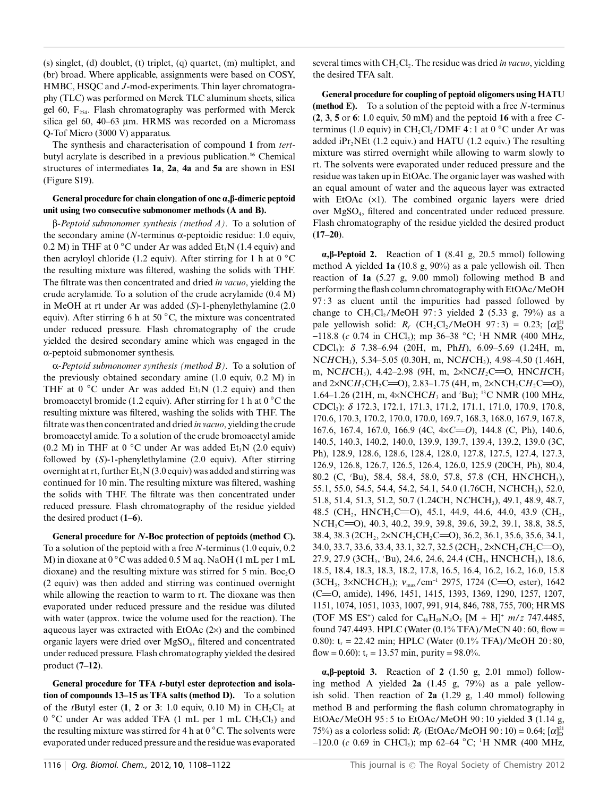(s) singlet, (d) doublet, (t) triplet, (q) quartet, (m) multiplet, and (br) broad. Where applicable, assignments were based on COSY, HMBC, HSQC and *J*-mod-experiments. Thin layer chromatography (TLC) was performed on Merck TLC aluminum sheets, silica gel 60,  $F_{254}$ . Flash chromatography was performed with Merck silica gel 60, 40–63  $\mu$ m. HRMS was recorded on a Micromass Q-Tof Micro (3000 V) apparatus.

The synthesis and characterisation of compound **1** from *tert*butyl acrylate is described in a previous publication.**<sup>16</sup>** Chemical structures of intermediates **1a**, **2a**, **4a** and **5a** are shown in ESI (Figure S19).

#### **General procedure for chain elongation of one a,b-dimeric peptoid unit using two consecutive submonomer methods (A and B).**

b*-Peptoid submonomer synthesis (method A).* To a solution of the secondary amine ( $N$ -terminus  $\alpha$ -peptoidic residue: 1.0 equiv, 0.2 M) in THF at  $0^{\circ}$ C under Ar was added Et<sub>3</sub>N (1.4 equiv) and then acryloyl chloride (1.2 equiv). After stirring for 1 h at  $0 °C$ the resulting mixture was filtered, washing the solids with THF. The filtrate was then concentrated and dried *in vacuo*, yielding the crude acrylamide. To a solution of the crude acrylamide (0.4 M) in MeOH at rt under Ar was added (*S*)-1-phenylethylamine (2.0 equiv). After stirring 6 h at 50 ◦C, the mixture was concentrated under reduced pressure. Flash chromatography of the crude yielded the desired secondary amine which was engaged in the  $\alpha$ -peptoid submonomer synthesis.

a*-Peptoid submonomer synthesis (method B).* To a solution of the previously obtained secondary amine (1.0 equiv, 0.2 M) in THF at 0  $\degree$ C under Ar was added Et<sub>3</sub>N (1.2 equiv) and then bromoacetyl bromide (1.2 equiv). After stirring for 1 h at  $0^{\circ}$ C the resulting mixture was filtered, washing the solids with THF. The filtrate was then concentrated and dried *in vacuo*, yielding the crude bromoacetyl amide. To a solution of the crude bromoacetyl amide (0.2 M) in THF at 0  $^{\circ}$ C under Ar was added Et<sub>3</sub>N (2.0 equiv) followed by (*S*)-1-phenylethylamine (2.0 equiv). After stirring overnight at rt, further  $Et_3N(3.0 \text{equiv})$  was added and stirring was continued for 10 min. The resulting mixture was filtered, washing the solids with THF. The filtrate was then concentrated under reduced pressure. Flash chromatography of the residue yielded the desired product (**1–6**).

**General procedure for** *N***-Boc protection of peptoids (method C).** To a solution of the peptoid with a free *N*-terminus (1.0 equiv, 0.2 M) in dioxane at 0 ◦C was added 0.5 M aq. NaOH (1 mL per 1 mL dioxane) and the resulting mixture was stirred for 5 min.  $Boc<sub>2</sub>O$ (2 equiv) was then added and stirring was continued overnight while allowing the reaction to warm to rt. The dioxane was then evaporated under reduced pressure and the residue was diluted with water (approx. twice the volume used for the reaction). The aqueous layer was extracted with EtOAc  $(2x)$  and the combined organic layers were dried over MgSO<sub>4</sub>, filtered and concentrated under reduced pressure. Flash chromatography yielded the desired product (**7–12**).

**General procedure for TFA** *t***-butyl ester deprotection and isolation of compounds 13–15 as TFA salts (method D).** To a solution of the *t*Butyl ester  $(1, 2 \text{ or } 3: 1.0 \text{ equiv}, 0.10 \text{ M})$  in  $\text{CH}_2\text{Cl}_2$  at  $0^{\circ}$ C under Ar was added TFA (1 mL per 1 mL CH<sub>2</sub>Cl<sub>2</sub>) and the resulting mixture was stirred for 4 h at  $0^{\circ}$ C. The solvents were evaporated under reduced pressure and the residue was evaporated

several times with CH<sub>2</sub>Cl<sub>2</sub>. The residue was dried *in vacuo*, yielding the desired TFA salt.

**General procedure for coupling of peptoid oligomers using HATU (method E).** To a solution of the peptoid with a free *N*-terminus (**2**, **3**, **5** or **6**: 1.0 equiv, 50 mM) and the peptoid **16** with a free *C*terminus (1.0 equiv) in  $CH_2Cl_2/DMF 4:1$  at 0 °C under Ar was added  $iPr_2NEt$  (1.2 equiv.) and HATU (1.2 equiv.) The resulting mixture was stirred overnight while allowing to warm slowly to rt. The solvents were evaporated under reduced pressure and the residue was taken up in EtOAc. The organic layer was washed with an equal amount of water and the aqueous layer was extracted with EtOAc  $(x1)$ . The combined organic layers were dried over MgSO<sup>4</sup> , filtered and concentrated under reduced pressure. Flash chromatography of the residue yielded the desired product (**17–20**).

**a,b-Peptoid 2.** Reaction of **1** (8.41 g, 20.5 mmol) following method A yielded **1a** (10.8 g, 90%) as a pale yellowish oil. Then reaction of **1a** (5.27 g, 9.00 mmol) following method B and performing the flash column chromatography with EtOAc/MeOH 97 : 3 as eluent until the impurities had passed followed by change to  $CH_2Cl_2/MeOH$  97:3 yielded 2 (5.33 g, 79%) as a pale yellowish solid:  $R_f$  (CH<sub>2</sub>Cl<sub>2</sub>/MeOH 97:3) = 0.23; [ $\alpha_{\text{D}}^{21}$ ] -118.8 (*c* 0.74 in CHCl3); mp 36–38 ◦C; <sup>1</sup>H NMR (400 MHz, CDCl3): *d* 7.38–6.94 (20H, m, Ph*H*), 6.09–5.69 (1.24H, m, NC*H*CH3), 5.34–5.05 (0.30H, m, NC*H*CH3), 4.98–4.50 (1.46H, m, NC*H*CH<sub>3</sub>), 4.42–2.98 (9H, m, 2×NC*H*<sub>2</sub>C=O, HNC*H*CH<sub>3</sub> and  $2 \times NCH_2CH_2C = 0$ ), 2.83–1.75 (4H, m,  $2 \times NCH_2CH_2C = 0$ ), 1.64–1.26 (21H, m, 4¥NCHC*H*<sup>3</sup> and *<sup>t</sup>*Bu); <sup>13</sup>C NMR (100 MHz, CDCl3): *d* 172.3, 172.1, 171.3, 171.2, 171.1, 171.0, 170.9, 170.8, 170.6, 170.3, 170.2, 170.0, 170.0, 169.7, 168.3, 168.0, 167.9, 167.8, 167.6, 167.4, 167.0, 166.9 (4C,  $4 \times C = 0$ ), 144.8 (C, Ph), 140.6, 140.5, 140.3, 140.2, 140.0, 139.9, 139.7, 139.4, 139.2, 139.0 (3C, Ph), 128.9, 128.6, 128.6, 128.4, 128.0, 127.8, 127.5, 127.4, 127.3, 126.9, 126.8, 126.7, 126.5, 126.4, 126.0, 125.9 (20CH, Ph), 80.4, 80.2 (C, *<sup>t</sup>*Bu), 58.4, 58.4, 58.0, 57.8, 57.8 (CH, HN*C*HCH3), 55.1, 55.0, 54.5, 54.4, 54.2, 54.1, 54.0 (1.76CH, N*C*HCH3), 52.0, 51.8, 51.4, 51.3, 51.2, 50.7 (1.24CH, N*C*HCH3), 49.1, 48.9, 48.7, 48.5 (CH<sub>2</sub>, HN*C*H<sub>2</sub>C=O), 45.1, 44.9, 44.6, 44.0, 43.9 (CH<sub>2</sub>, NCH<sub>2</sub>C=O), 40.3, 40.2, 39.9, 39.8, 39.6, 39.2, 39.1, 38.8, 38.5, 38.4, 38.3 (2CH<sub>2</sub>, 2×N*C*H<sub>2</sub>CH<sub>2</sub>C=O), 36.2, 36.1, 35.6, 35.6, 34.1, 34.0, 33.7, 33.6, 33.4, 33.1, 32.7, 32.5 (2CH<sub>2</sub>, 2×NCH<sub>2</sub>CH<sub>2</sub>C=O), 27.9, 27.9 (3CH<sup>3</sup> , *<sup>t</sup>*Bu), 24.6, 24.6, 24.4 (CH<sup>3</sup> , HNCH*C*H3), 18.6, 18.5, 18.4, 18.3, 18.3, 18.2, 17.8, 16.5, 16.4, 16.2, 16.2, 16.0, 15.8 (3CH<sub>3</sub>, 3×NCH*C*H<sub>3</sub>); *v*<sub>max</sub>/cm<sup>-1</sup> 2975, 1724 (C=O, ester), 1642 (C=O, amide), 1496, 1451, 1415, 1393, 1369, 1290, 1257, 1207, 1151, 1074, 1051, 1033, 1007, 991, 914, 846, 788, 755, 700; HRMS (TOF MS ES<sup>+</sup>) calcd for  $C_{46}H_{59}N_4O_5$  [M + H]<sup>+</sup>  $m/z$  747.4485, found 747.4493. HPLC (Water  $(0.1\%$  TFA)/MeCN  $40:60$ , flow = 0.80):  $t_r = 22.42$  min; HPLC (Water (0.1% TFA)/MeOH 20:80, flow = 0.60):  $t_r = 13.57$  min, purity = 98.0%.

**a,b-peptoid 3.** Reaction of **2** (1.50 g, 2.01 mmol) following method A yielded **2a** (1.45 g, 79%) as a pale yellowish solid. Then reaction of **2a** (1.29 g, 1.40 mmol) following method B and performing the flash column chromatography in EtOAc/MeOH 95 : 5 to EtOAc/MeOH 90 : 10 yielded **3** (1.14 g, 75%) as a colorless solid:  $R_f$  (EtOAc/MeOH 90:10) = 0.64;  $[\alpha]_D^{21}$ -120.0 (*c* 0.69 in CHCl<sub>3</sub>); mp 62–64 °C; <sup>1</sup>H NMR (400 MHz,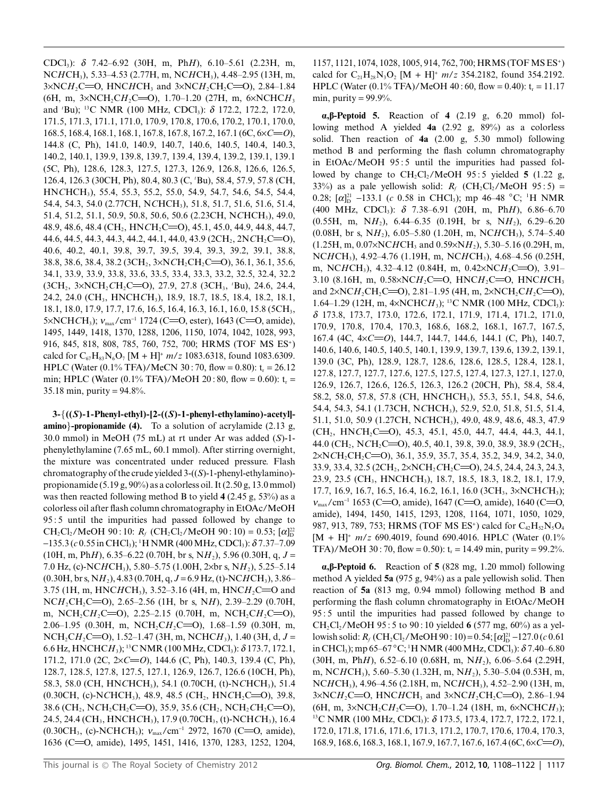CDCl<sub>3</sub>):  $\delta$  7.42–6.92 (30H, m, PhH), 6.10–5.61 (2.23H, m, NCHCH<sub>3</sub>), 5.33-4.53 (2.77H, m, NCHCH<sub>3</sub>), 4.48-2.95 (13H, m,  $3 \times NCH$ , C=O, HNCHCH, and  $3 \times NCH$ , CH<sub>2</sub>C=O), 2.84–1.84 (6H, m,  $3 \times NCH_2CH_2C=O$ ), 1.70-1.20 (27H, m,  $6 \times NCHCH_3$ and 'Bu); <sup>13</sup>C NMR (100 MHz, CDCl<sub>3</sub>):  $\delta$  172.2, 172.2, 172.0, 171.5, 171.3, 171.1, 171.0, 170.9, 170.8, 170.6, 170.2, 170.1, 170.0, 168.5, 168.4, 168.1, 168.1, 167.8, 167.8, 167.2, 167.1 (6C,  $6 \times C = 0$ ), 144.8 (C, Ph), 141.0, 140.9, 140.7, 140.6, 140.5, 140.4, 140.3, 140.2, 140.1, 139.9, 139.8, 139.7, 139.4, 139.4, 139.2, 139.1, 139.1 (5C, Ph), 128.6, 128.3, 127.5, 127.3, 126.9, 126.8, 126.6, 126.5, 126.4, 126.3 (30CH, Ph), 80.4, 80.3 (C, 'Bu), 58.4, 57.9, 57.8 (CH, HNCHCH<sub>3</sub>), 55.4, 55.3, 55.2, 55.0, 54.9, 54.7, 54.6, 54.5, 54.4, 54.4, 54.3, 54.0 (2.77CH, NCHCH<sub>3</sub>), 51.8, 51.7, 51.6, 51.6, 51.4, 51.4, 51.2, 51.1, 50.9, 50.8, 50.6, 50.6 (2.23CH, NCHCH<sub>3</sub>), 49.0, 48.9, 48.6, 48.4 (CH<sub>2</sub>, HNCH<sub>2</sub>C=O), 45.1, 45.0, 44.9, 44.8, 44.7, 44.6, 44.5, 44.3, 44.3, 44.2, 44.1, 44.0, 43.9 (2CH<sub>2</sub>, 2NCH<sub>2</sub>C=O), 40.6, 40.2, 40.1, 39.8, 39.7, 39.5, 39.4, 39.3, 39.2, 39.1, 38.8, 38.8, 38.6, 38.4, 38.2 (3CH<sub>2</sub>, 3×NCH<sub>2</sub>CH<sub>2</sub>C=O), 36.1, 36.1, 35.6, 34.1, 33.9, 33.9, 33.8, 33.6, 33.5, 33.4, 33.3, 33.2, 32.5, 32.4, 32.2  $(3CH_2, 3 \times NCH_2CH_2C=O), 27.9, 27.8 (3CH_3, 'Bu), 24.6, 24.4,$ 24.2, 24.0 (CH<sub>3</sub>, HNCHCH<sub>3</sub>), 18.9, 18.7, 18.5, 18.4, 18.2, 18.1, 18.1, 18.0, 17.9, 17.7, 17.6, 16.5, 16.4, 16.3, 16.1, 16.0, 15.8 (5CH<sub>3</sub>, 5×NCHCH<sub>3</sub>);  $v_{\text{max}}$ /cm<sup>-1</sup> 1724 (C=O, ester), 1643 (C=O, amide), 1495, 1449, 1418, 1370, 1288, 1206, 1150, 1074, 1042, 1028, 993, 916, 845, 818, 808, 785, 760, 752, 700; HRMS (TOF MS ES<sup>+</sup>) calcd for  $C_{67}H_{83}N_6O_7$  [M + H]<sup>+</sup>  $m/z$  1083.6318, found 1083.6309. HPLC (Water (0.1% TFA)/MeCN 30:70, flow = 0.80):  $t_r = 26.12$ min; HPLC (Water  $(0.1\% \text{ TFA})/\text{MeOH } 20:80$ , flow = 0.60): t<sub>r</sub> = 35.18 min, purity =  $94.8\%$ .

 $3-\{(S)-1-Phenyl-ethyl)-(2-((S)-1-phenyl-ethylamino)-acetyl$ **amino**}-**propionamide (4).** To a solution of acrylamide  $(2.13 \text{ g})$ , 30.0 mmol) in MeOH (75 mL) at rt under Ar was added (S)-1phenylethylamine (7.65 mL, 60.1 mmol). After stirring overnight, the mixture was concentrated under reduced pressure. Flash chromatography of the crude yielded  $3-(S)$ -1-phenyl-ethylamino)propionamide  $(5.19 \text{ g}, 90\%)$  as a colorless oil. It  $(2.50 \text{ g}, 13.0 \text{ mmol})$ was then reacted following method B to yield  $4(2.45 \text{ g}, 53\%)$  as a colorless oil after flash column chromatography in EtOAc/MeOH 95:5 until the impurities had passed followed by change to  $CH_2Cl_2/MeOH$  90:10:  $R_f$  (CH<sub>2</sub>Cl<sub>2</sub>/MeOH 90:10) = 0.53;  $[\alpha]_D^{22}$  $-135.3$  (c 0.55 in CHCl<sub>3</sub>); <sup>1</sup>H NMR (400 MHz, CDCl<sub>3</sub>):  $\delta$  7.37–7.09  $(10H, m, PhH), 6.35-6.22 (0.70H, br s, NH<sub>2</sub>), 5.96 (0.30H, q, J =$ 7.0 Hz, (c)-NCHCH<sub>3</sub>), 5.80–5.75 (1.00H, 2×br s, NH<sub>2</sub>), 5.25–5.14  $(0.30H, br s, NH<sub>2</sub>), 4.83 (0.70H, q, J=6.9 Hz, (t)-NCHCH<sub>3</sub>), 3.86-$ 3.75 (1H, m, HNCHCH<sub>3</sub>), 3.52–3.16 (4H, m, HNCH<sub>2</sub>C=O and  $NCH_2CH_2C=0$ , 2.65-2.56 (1H, br s, NH), 2.39-2.29 (0.70H, m, NCH<sub>2</sub>CH<sub>2</sub>C=O), 2.25-2.15 (0.70H, m, NCH<sub>2</sub>CH<sub>2</sub>C=O), 2.06–1.95 (0.30H, m, NCH<sub>2</sub>CH<sub>2</sub>C=O), 1.68–1.59 (0.30H, m,  $NCH_2CH_2C=O$ ), 1.52–1.47 (3H, m, NCHCH<sub>3</sub>), 1.40 (3H, d, J = 6.6 Hz, HNCHCH<sub>3</sub>); <sup>13</sup>C NMR (100 MHz, CDCl<sub>3</sub>):  $\delta$  173.7, 172.1, 171.2, 171.0 (2C,  $2 \times C = 0$ ), 144.6 (C, Ph), 140.3, 139.4 (C, Ph), 128.7, 128.5, 127.8, 127.5, 127.1, 126.9, 126.7, 126.6 (10CH, Ph), 58.3, 58.0 (CH, HNCHCH<sub>3</sub>), 54.1 (0.70CH, (t)-NCHCH<sub>3</sub>), 51.4  $(0.30CH, (c)-NCHCH<sub>3</sub>), 48.9, 48.5 (CH<sub>2</sub>, HNCH<sub>2</sub>C=O), 39.8,$ 38.6 (CH<sub>2</sub>, NCH<sub>2</sub>CH<sub>2</sub>C=O), 35.9, 35.6 (CH<sub>2</sub>, NCH<sub>2</sub>CH<sub>2</sub>C=O), 24.5, 24.4 (CH<sub>3</sub>, HNCHCH<sub>3</sub>), 17.9 (0.70CH<sub>3</sub>, (t)-NCHCH<sub>3</sub>), 16.4 (0.30CH<sub>3</sub>, (c)-NCHCH<sub>3</sub>);  $v_{\text{max}}/\text{cm}^{-1}$  2972, 1670 (C=O, amide), 1636 (C=O, amide), 1495, 1451, 1416, 1370, 1283, 1252, 1204,

1157, 1121, 1074, 1028, 1005, 914, 762, 700; HRMS (TOF MS ES<sup>+</sup>) calcd for  $C_{21}H_{28}N_3O_2$  [M + H]<sup>+</sup>  $m/z$  354.2182, found 354.2192. HPLC (Water  $(0.1\% \text{ TFA})/$  MeOH 40:60, flow = 0.40): t<sub>r</sub> = 11.17 min, purity =  $99.9\%$ .

 $\alpha$ ,  $\beta$ -Peptoid 5. Reaction of 4 (2.19 g, 6.20 mmol) following method A yielded  $4a$  (2.92 g, 89%) as a colorless solid. Then reaction of 4a (2.00 g, 5.30 mmol) following method B and performing the flash column chromatography in EtOAc/MeOH 95:5 until the impurities had passed followed by change to  $CH_2Cl_2/MeOH$  95:5 yielded 5 (1.22 g, 33%) as a pale yellowish solid:  $R_f$  (CH<sub>2</sub>Cl<sub>2</sub>/MeOH 95:5) = 0.28;  $[\alpha]_D^{21}$  -133.1 (c 0.58 in CHCl<sub>3</sub>); mp 46–48 °C; <sup>1</sup>H NMR (400 MHz, CDCl<sub>3</sub>):  $\delta$  7.38–6.91 (20H, m, PhH), 6.86–6.70  $(0.55H, m, NH<sub>2</sub>), 6.44-6.35 (0.19H, br s, NH<sub>2</sub>), 6.29-6.20$  $(0.08H, br s, NH<sub>2</sub>), 6.05-5.80$  (1.20H, m, NCHCH<sub>3</sub>), 5.74-5.40  $(1.25H, m, 0.07 \times NCHCH$ , and  $0.59 \times NH_2$ ), 5.30–5.16 (0.29H, m, NCHCH<sub>3</sub>), 4.92–4.76 (1.19H, m, NCHCH<sub>3</sub>), 4.68–4.56 (0.25H, m, NCHCH<sub>3</sub>), 4.32-4.12 (0.84H, m, 0.42×NCH<sub>2</sub>C=O), 3.91-3.10 (8.16H, m, 0.58×NC $H_2C=$ O, HNC $H_2C=$ O, HNC $H$ CH<sub>3</sub> and  $2 \times NCH_2CH_2C=0$ , 2.81–1.95 (4H, m,  $2 \times NCH_2CH_2C=0$ ), 1.64–1.29 (12H, m,  $4 \times NCHCH_3$ ); <sup>13</sup>C NMR (100 MHz, CDCl<sub>3</sub>): 8 173.8, 173.7, 173.0, 172.6, 172.1, 171.9, 171.4, 171.2, 171.0, 170.9, 170.8, 170.4, 170.3, 168.6, 168.2, 168.1, 167.7, 167.5, 167.4 (4C, 4xC=O), 144.7, 144.7, 144.6, 144.1 (C, Ph), 140.7, 140.6, 140.6, 140.5, 140.5, 140.1, 139.9, 139.7, 139.6, 139.2, 139.1, 139.0 (3C, Ph), 128.9, 128.7, 128.6, 128.6, 128.5, 128.4, 128.1, 127.8, 127.7, 127.7, 127.6, 127.5, 127.5, 127.4, 127.3, 127.1, 127.0, 126.9, 126.7, 126.6, 126.5, 126.3, 126.2 (20CH, Ph), 58.4, 58.4, 58.2, 58.0, 57.8, 57.8 (CH, HNCHCH<sub>3</sub>), 55.3, 55.1, 54.8, 54.6, 54.4, 54.3, 54.1 (1.73CH, NCHCH<sub>3</sub>), 52.9, 52.0, 51.8, 51.5, 51.4, 51.1, 51.0, 50.9 (1.27CH, NCHCH<sub>3</sub>), 49.0, 48.9, 48.6, 48.3, 47.9  $(CH_2, HNCH_2C=O), 45.3, 45.1, 45.0, 44.7, 44.4, 44.3, 44.1,$ 44.0 (CH<sub>2</sub>, NCH<sub>2</sub>C=O), 40.5, 40.1, 39.8, 39.0, 38.9, 38.9 (2CH<sub>2</sub>,  $2xNCH_2CH_2C=0$ , 36.1, 35.9, 35.7, 35.4, 35.2, 34.9, 34.2, 34.0, 33.9, 33.4, 32.5 (2CH<sub>2</sub>, 2×NCH<sub>2</sub>CH<sub>2</sub>C=O), 24.5, 24.4, 24.3, 24.3, 23.9, 23.5 (CH<sub>3</sub>, HNCHCH<sub>3</sub>), 18.7, 18.5, 18.3, 18.2, 18.1, 17.9, 17.7, 16.9, 16.7, 16.5, 16.4, 16.2, 16.1, 16.0 (3CH<sub>3</sub>, 3×NCHCH<sub>3</sub>);  $v_{\text{max}}$ /cm<sup>-1</sup> 1653 (C=O, amide), 1647 (C=O, amide), 1640 (C=O, amide), 1494, 1450, 1415, 1293, 1208, 1164, 1071, 1050, 1029, 987, 913, 789, 753; HRMS (TOF MS ES<sup>+</sup>) calcd for  $C_4$ , H<sub>5</sub>, N<sub>5</sub>O<sub>4</sub>  $[M + H]^+$  m/z 690.4019, found 690.4016. HPLC (Water (0.1%) TFA)/MeOH 30:70, flow = 0.50):  $t_r = 14.49$  min, purity = 99.2%.

 $\alpha$ ,  $\beta$ -Peptoid 6. Reaction of 5 (828 mg, 1.20 mmol) following method A yielded 5a (975 g, 94%) as a pale yellowish solid. Then reaction of 5a (813 mg, 0.94 mmol) following method B and performing the flash column chromatography in EtOAc/MeOH 95:5 until the impurities had passed followed by change to  $CH_2Cl_2/MeOH$  95:5 to 90:10 yielded 6 (577 mg, 60%) as a yellowish solid:  $R_f$  (CH<sub>2</sub>Cl<sub>2</sub>/MeOH 90 : 10) = 0.54; [ $\alpha$ ]<sup>21</sup></sup> -127.0 (c 0.61 in CHCl<sub>3</sub>); mp 65–67 °C; <sup>1</sup>H NMR (400 MHz, CDCl<sub>3</sub>):  $\delta$  7.40–6.80  $(30H, m, PhH), 6.52-6.10 (0.68H, m, NH<sub>2</sub>), 6.06-5.64 (2.29H,$ m, NCHCH<sub>3</sub>), 5.60–5.30 (1.32H, m, NH<sub>2</sub>), 5.30–5.04 (0.53H, m, NCHCH<sub>3</sub>), 4.96–4.56 (2.18H, m, NCHCH<sub>3</sub>), 4.52–2.90 (13H, m,  $3 \times NCH_2C = 0$ , HNCHCH<sub>3</sub> and  $3 \times NCH_2CH_2C = 0$ ), 2.86-1.94 (6H, m,  $3 \times NCH_2CH_2C=O$ ), 1.70-1.24 (18H, m,  $6 \times NCHCH_3$ ); <sup>13</sup>C NMR (100 MHz, CDCl<sub>3</sub>):  $\delta$  173.5, 173.4, 172.7, 172.2, 172.1, 172.0, 171.8, 171.6, 171.6, 171.3, 171.2, 170.7, 170.6, 170.4, 170.3,  $168.9, 168.6, 168.3, 168.1, 167.9, 167.7, 167.6, 167.4$  (6C,  $6 \times C = O$ ),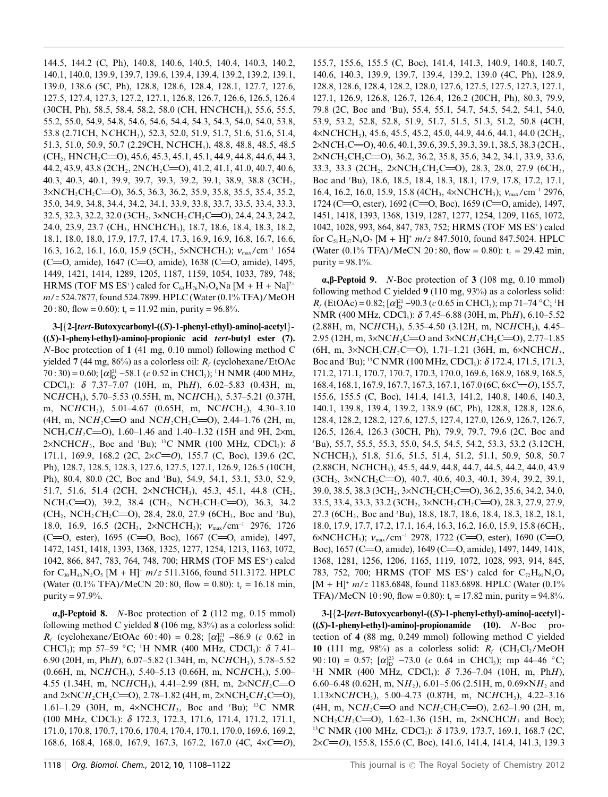144.5, 144.2 (C, Ph), 140.8, 140.6, 140.5, 140.4, 140.3, 140.2, 140.1, 140.0, 139.9, 139.7, 139.6, 139.4, 139.4, 139.2, 139.2, 139.1, 139.0, 138.6 (5C, Ph), 128.8, 128.6, 128.4, 128.1, 127.7, 127.6, 127.5, 127.4, 127.3, 127.2, 127.1, 126.8, 126.7, 126.6, 126.5, 126.4 (30CH, Ph), 58.5, 58.4, 58.2, 58.0 (CH, HNCHCH<sub>3</sub>), 55.6, 55.5, 55.2, 55.0, 54.9, 54.8, 54.6, 54.6, 54.4, 54.3, 54.3, 54.0, 54.0, 53.8, 53.8 (2.71CH, NCHCH<sub>3</sub>), 52.3, 52.0, 51.9, 51.7, 51.6, 51.6, 51.4, 51.3, 51.0, 50.9, 50.7 (2.29CH, NCHCH<sub>3</sub>), 48.8, 48.8, 48.5, 48.5  $(CH_2, HNCH_2C=O), 45.6, 45.3, 45.1, 45.1, 44.9, 44.8, 44.6, 44.3,$ 44.2, 43.9, 43.8 (2CH<sub>2</sub>, 2NCH<sub>2</sub>C=O), 41.2, 41.1, 41.0, 40.7, 40.6, 40.3, 40.3, 40.1, 39.9, 39.7, 39.3, 39.2, 39.1, 38.9, 38.8 (3CH<sub>2</sub>,  $3 \times NCH_2CH_2C = 0$ , 36.5, 36.3, 36.2, 35.9, 35.8, 35.5, 35.4, 35.2, 35.0, 34.9, 34.8, 34.4, 34.2, 34.1, 33.9, 33.8, 33.7, 33.5, 33.4, 33.3, 32.5, 32.3, 32.2, 32.0 (3CH<sub>2</sub>, 3×NCH<sub>2</sub>CH<sub>2</sub>C=O), 24.4, 24.3, 24.2, 24.0, 23.9, 23.7 (CH<sub>3</sub>, HNCHCH<sub>3</sub>), 18.7, 18.6, 18.4, 18.3, 18.2, 18.1, 18.0, 18.0, 17.9, 17.7, 17.4, 17.3, 16.9, 16.9, 16.8, 16.7, 16.6, 16.3, 16.2, 16.1, 16.0, 15.9 (5CH<sub>3</sub>, 5×NCHCH<sub>3</sub>);  $v_{\text{max}}/\text{cm}^{-1}$  1654 (C=0, amide), 1647 (C=0, amide), 1638 (C=0, amide), 1495, 1449, 1421, 1414, 1289, 1205, 1187, 1159, 1054, 1033, 789, 748; HRMS (TOF MS ES<sup>+</sup>) calcd for  $C_{63}H_{76}N_7O_6Na$  [M + H + Na]<sup>2+</sup> m/z 524.7877, found 524.7899. HPLC (Water (0.1% TFA)/MeOH 20:80, flow = 0.60):  $t_r = 11.92$  min, purity = 96.8%.

3-[{2-[tert-Butoxycarbonyl-((S)-1-phenyl-ethyl)-aminol-acetyl}- $((S)-1$ -phenyl-ethyl)-aminol-propionic acid tert-butyl ester (7).  $N$ -Boc protection of 1 (41 mg, 0.10 mmol) following method C yielded 7 (44 mg, 86%) as a colorless oil:  $R_f$  (cyclohexane/EtOAc 70:30) = 0.60;  $[\alpha]_D^{21}$  –58.1 (c 0.52 in CHCl<sub>3</sub>); <sup>1</sup>H NMR (400 MHz, CDCl<sub>3</sub>):  $\delta$  7.37-7.07 (10H, m, PhH), 6.02-5.83 (0.43H, m, NCHCH<sub>3</sub>), 5.70–5.53 (0.55H, m, NCHCH<sub>3</sub>), 5.37–5.21 (0.37H, m, NCHCH<sub>3</sub>), 5.01–4.67 (0.65H, m, NCHCH<sub>3</sub>), 4.30–3.10 (4H, m, NCH<sub>2</sub>C=O and NCH<sub>2</sub>CH<sub>2</sub>C=O), 2.44-1.76 (2H, m, NCH<sub>2</sub>CH<sub>2</sub>C=O), 1.60–1.46 and 1.40–1.32 (15H and 9H, 2×m, 2×NCHCH<sub>3</sub>, Boc and 'Bu); <sup>13</sup>C NMR (100 MHz, CDCl<sub>3</sub>):  $\delta$ 171.1, 169.9, 168.2 (2C,  $2 \times C = 0$ ), 155.7 (C, Boc), 139.6 (2C, Ph), 128.7, 128.5, 128.3, 127.6, 127.5, 127.1, 126.9, 126.5 (10CH, Ph), 80.4, 80.0 (2C, Boc and 'Bu), 54.9, 54.1, 53.1, 53.0, 52.9, 51.7, 51.6, 51.4 (2CH, 2×NCHCH<sub>3</sub>), 45.3, 45.1, 44.8 (CH<sub>2</sub>, NCH<sub>2</sub>C=O), 39.2, 38.4 (CH<sub>2</sub>, NCH<sub>2</sub>CH<sub>2</sub>C=O), 36.3, 34.2  $(CH_2, NCH_2CH_2C=O), 28.4, 28.0, 27.9$  (6CH<sub>3</sub>, Boc and 'Bu), 18.0, 16.9, 16.5 (2CH<sub>3</sub>, 2×NCHCH<sub>3</sub>); v<sub>max</sub>/cm<sup>-1</sup> 2976, 1726 (C=O, ester), 1695 (C=O, Boc), 1667 (C=O, amide), 1497, 1472, 1451, 1418, 1393, 1368, 1325, 1277, 1254, 1213, 1163, 1072, 1042, 866, 847, 783, 764, 748, 700; HRMS (TOF MS ES<sup>+</sup>) calcd for  $C_{30}H_{43}N_2O_5$  [M + H]<sup>+</sup>  $m/z$  511.3166, found 511.3172. HPLC (Water  $(0.1\% \text{ TFA})/ \text{MeCN } 20:80$ , flow = 0.80): t<sub>r</sub> = 16.18 min, purity =  $97.9\%$ .

 $\alpha$ ,  $\beta$ -Peptoid 8. *N*-Boc protection of 2 (112 mg, 0.15 mmol) following method C yielded 8 (106 mg, 83%) as a colorless solid:  $R_f$  (cyclohexane/EtOAc 60:40) = 0.28;  $[\alpha]_D^{21}$  -86.9 (c 0.62 in CHCl<sub>3</sub>); mp 57–59 °C; <sup>1</sup>H NMR (400 MHz, CDCl<sub>3</sub>):  $\delta$  7.41– 6.90 (20H, m, PhH), 6.07–5.82 (1.34H, m, NCHCH<sub>3</sub>), 5.78–5.52  $(0.66H, m, NCHCH<sub>3</sub>), 5.40-5.13 (0.66H, m, NCHCH<sub>3</sub>), 5.00-$ 4.55 (1.34H, m, NCHCH<sub>3</sub>), 4.41-2.99 (8H, m, 2×NCH<sub>2</sub>C=O and  $2 \times NCH_2CH_2C=0$ , 2.78–1.82 (4H, m,  $2 \times NCH_2CH_2C=0$ ), 1.61-1.29 (30H, m,  $4 \times NCHCH_3$ , Boc and 'Bu); <sup>13</sup>C NMR  $(100 \text{ MHz}, \text{CDC1}_3): \delta$  172.3, 172.3, 171.6, 171.4, 171.2, 171.1, 171.0, 170.8, 170.7, 170.6, 170.4, 170.4, 170.1, 170.0, 169.6, 169.2, 168.6, 168.4, 168.0, 167.9, 167.3, 167.2, 167.0 (4C,  $4 \times C = 0$ ), 155.7, 155.6, 155.5 (C, Boc), 141.4, 141.3, 140.9, 140.8, 140.7, 140.6, 140.3, 139.9, 139.7, 139.4, 139.2, 139.0 (4C, Ph), 128.9, 128.8, 128.6, 128.4, 128.2, 128.0, 127.6, 127.5, 127.5, 127.3, 127.1, 127.1, 126.9, 126.8, 126.7, 126.4, 126.2 (20CH, Ph), 80.3, 79.9, 79.8 (2C, Boc and 'Bu), 55.4, 55.1, 54.7, 54.5, 54.2, 54.1, 54.0, 53.9, 53.2, 52.8, 52.8, 51.9, 51.7, 51.5, 51.3, 51.2, 50.8 (4CH, 4xNCHCH<sub>3</sub>), 45.6, 45.5, 45.2, 45.0, 44.9, 44.6, 44.1, 44.0 (2CH<sub>2</sub>,  $2xNCH_2C=0$ , 40.6, 40.1, 39.6, 39.5, 39.3, 39.1, 38.5, 38.3 (2CH<sub>2</sub>, 2×NCH<sub>2</sub>CH<sub>2</sub>C=O), 36.2, 36.2, 35.8, 35.6, 34.2, 34.1, 33.9, 33.6, 33.3, 33.3 (2CH<sub>2</sub>, 2×NCH<sub>2</sub>CH<sub>2</sub>C=O), 28.3, 28.0, 27.9 (6CH<sub>3</sub>, Boc and 'Bu), 18.6, 18.5, 18.4, 18.3, 18.1, 17.9, 17.8, 17.2, 17.1, 16.4, 16.2, 16.0, 15.9, 15.8 (4CH<sub>3</sub>, 4×NCHCH<sub>3</sub>);  $v_{\text{max}}/\text{cm}^{-1}$  2976, 1724 (C=O, ester), 1692 (C=O, Boc), 1659 (C=O, amide), 1497, 1451, 1418, 1393, 1368, 1319, 1287, 1277, 1254, 1209, 1165, 1072, 1042, 1028, 993, 864, 847, 783, 752; HRMS (TOF MS ES<sup>+</sup>) calcd for  $C_{51}H_{67}N_4O_7$  [M + H]<sup>+</sup> m/z 847.5010, found 847.5024. HPLC (Water (0.1% TFA)/MeCN 20:80, flow = 0.80):  $t_r = 29.42$  min, purity =  $98.1\%$ .

 $\alpha$ ,  $\beta$ -Peptoid 9. *N*-Boc protection of 3 (108 mg, 0.10 mmol) following method C yielded  $9(110 \text{ mg}, 93\%)$  as a colorless solid:  $R_f$  (EtOAc) = 0.82; [ $\alpha$ ]<sup>21</sup> -90.3 (c 0.65 in CHCl<sub>3</sub>); mp 71–74 °C; <sup>1</sup>H NMR (400 MHz, CDCl<sub>3</sub>):  $\delta$  7.45–6.88 (30H, m, Ph*H*), 6.10–5.52  $(2.88H, m, NCHCH<sub>3</sub>), 5.35-4.50 (3.12H, m, NCHCH<sub>3</sub>), 4.45-$ 2.95 (12H, m,  $3 \times NCH_2C = O$  and  $3 \times NCH_2CH_2C = O$ ), 2.77-1.85 (6H, m,  $3 \times NCH$ ,  $CH_2C = 0$ ), 1.71–1.21 (36H, m,  $6 \times NCHCH_3$ , Boc and 'Bu); <sup>13</sup>C NMR (100 MHz, CDCl<sub>3</sub>):  $\delta$  172.4, 171.5, 171.3, 171.2, 171.1, 170.7, 170.7, 170.3, 170.0, 169.6, 168.9, 168.9, 168.5,  $168.4, 168.1, 167.9, 167.7, 167.3, 167.1, 167.0$  (6C,  $6 \times C = 0$ ), 155.7, 155.6, 155.5 (C, Boc), 141.4, 141.3, 141.2, 140.8, 140.6, 140.3, 140.1, 139.8, 139.4, 139.2, 138.9 (6C, Ph), 128.8, 128.8, 128.6, 128.4, 128.2, 128.2, 127.6, 127.5, 127.4, 127.0, 126.9, 126.7, 126.7, 126.5, 126.4, 126.3 (30CH, Ph), 79.9, 79.7, 79.6 (2C, Boc and 'Bu), 55.7, 55.5, 55.3, 55.0, 54.5, 54.5, 54.2, 53.3, 53.2 (3.12CH, NCHCH<sub>3</sub>), 51.8, 51.6, 51.5, 51.4, 51.2, 51.1, 50.9, 50.8, 50.7 (2.88CH, NCHCH<sub>3</sub>), 45.5, 44.9, 44.8, 44.7, 44.5, 44.2, 44.0, 43.9  $(3CH<sub>2</sub>, 3\times NCH<sub>2</sub>C=O), 40.7, 40.6, 40.3, 40.1, 39.4, 39.2, 39.1,$ 39.0, 38.5, 38.3 (3CH<sub>2</sub>, 3×NCH<sub>2</sub>CH<sub>2</sub>C=O), 36.2, 35.6, 34.2, 34.0, 33.5, 33.4, 33.3, 33.2 (3CH<sub>2</sub>, 3×NCH<sub>2</sub>CH<sub>2</sub>C=O), 28.3, 27.9, 27.9, 27.3 (6CH<sub>3</sub>, Boc and 'Bu), 18.8, 18.7, 18.6, 18.4, 18.3, 18.2, 18.1, 18.0, 17.9, 17.7, 17.2, 17.1, 16.4, 16.3, 16.2, 16.0, 15.9, 15.8 (6CH<sub>3</sub>, 6×NCHCH<sub>3</sub>);  $v_{\text{max}}$ /cm<sup>-1</sup> 2978, 1722 (C=O, ester), 1690 (C=O, Boc), 1657 (C=O, amide), 1649 (C=O, amide), 1497, 1449, 1418, 1368, 1281, 1256, 1206, 1165, 1119, 1072, 1028, 993, 914, 845, 783, 752, 700; HRMS (TOF MS ES<sup>+</sup>) calcd for  $C_{72}H_{91}N_6O_9$  $[M + H]^+$  m/z 1183.6848, found 1183.6898. HPLC (Water (0.1%) TFA)/MeCN 10:90, flow = 0.80):  $t_r = 17.82$  min, purity = 94.8%.

3-[{2-[tert-Butoxycarbonyl-((S)-1-phenyl-ethyl)-aminol-acetyl}- $((S)-1$ -phenyl-ethyl)-aminol-propionamide  $(10)$ . N-Boc protection of 4 (88 mg, 0.249 mmol) following method C yielded 10 (111 mg, 98%) as a colorless solid:  $R_f$  (CH<sub>2</sub>Cl<sub>2</sub>/MeOH 90:10) = 0.57;  $[\alpha]_D^{23}$  -73.0 (c 0.64 in CHCl<sub>3</sub>); mp 44-46 °C; <sup>1</sup>H NMR (400 MHz, CDCl<sub>3</sub>):  $\delta$  7.36-7.04 (10H, m, PhH), 6.60–6.48 (0.62H, m, NH<sub>2</sub>), 6.01–5.06 (2.51H, m, 0.69×NH<sub>2</sub> and 1.13×NCHCH<sub>3</sub>), 5.00–4.73 (0.87H, m, NCHCH<sub>3</sub>), 4.22–3.16 (4H, m, NCH<sub>2</sub>C=O and NCH<sub>2</sub>CH<sub>2</sub>C=O), 2.62-1.90 (2H, m, NCH<sub>2</sub>CH<sub>2</sub>C=O), 1.62-1.36 (15H, m, 2×NCHCH<sub>3</sub> and Boc); <sup>13</sup>C NMR (100 MHz, CDCl<sub>3</sub>):  $\delta$  173.9, 173.7, 169.1, 168.7 (2C,  $2 \times C = 0$ , 155.8, 155.6 (C, Boc), 141.6, 141.4, 141.4, 141.3, 139.3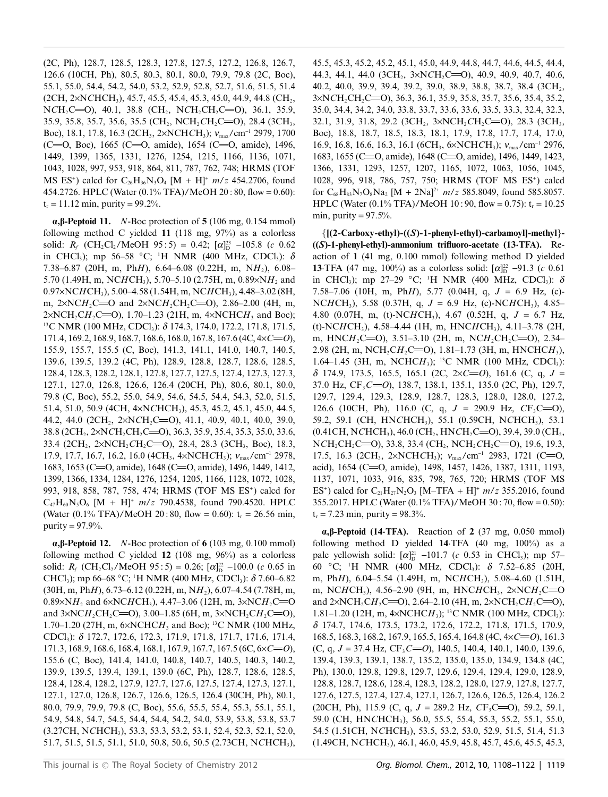(2C, Ph), 128.7, 128.5, 128.3, 127.8, 127.5, 127.2, 126.8, 126.7, 126.6 (10CH, Ph), 80.5, 80.3, 80.1, 80.0, 79.9, 79.8 (2C, Boc), 55.1, 55.0, 54.4, 54.2, 54.0, 53.2, 52.9, 52.8, 52.7, 51.6, 51.5, 51.4  $(2CH, 2\times NCHCH_3)$ , 45.7, 45.5, 45.4, 45.3, 45.0, 44.9, 44.8 (CH<sub>2</sub>,  $NCH_2C=O$ , 40.1, 38.8 (CH<sub>2</sub>,  $NCH_2CH_2C=O$ ), 36.1, 35.9, 35.9, 35.8, 35.7, 35.6, 35.5 (CH<sub>2</sub>, NCH<sub>2</sub>CH<sub>2</sub>C=O), 28.4 (3CH<sub>3</sub>, Boc), 18.1, 17.8, 16.3 (2CH<sub>3</sub>, 2×NCHCH<sub>3</sub>); v<sub>max</sub>/cm<sup>-1</sup> 2979, 1700 (C=0, Boc), 1665 (C=0, amide), 1654 (C=0, amide), 1496, 1449, 1399, 1365, 1331, 1276, 1254, 1215, 1166, 1136, 1071, 1043, 1028, 997, 953, 918, 864, 811, 787, 762, 748; HRMS (TOF MS ES<sup>+</sup>) calcd for C<sub>26</sub>H<sub>36</sub>N<sub>3</sub>O<sub>4</sub> [M + H]<sup>+</sup>  $m/z$  454.2706, found 454.2726. HPLC (Water  $(0.1\%$  TFA)/MeOH 20:80, flow = 0.60):  $t_r = 11.12$  min, purity = 99.2%.

 $\alpha$ ,  $\beta$ -Peptoid 11. *N*-Boc protection of 5 (106 mg, 0.154 mmol) following method C yielded 11 (118 mg,  $97\%$ ) as a colorless solid:  $R_f$  (CH<sub>2</sub>Cl<sub>2</sub>/MeOH 95:5) = 0.42;  $[\alpha]_D^{23}$  -105.8 (c 0.62) in CHCl<sub>3</sub>); mp 56–58 °C; <sup>1</sup>H NMR (400 MHz, CDCl<sub>3</sub>):  $\delta$ 7.38-6.87 (20H, m, PhH), 6.64-6.08 (0.22H, m, NH<sub>2</sub>), 6.08-5.70 (1.49H, m, NCHCH<sub>3</sub>), 5.70–5.10 (2.75H, m, 0.89×NH<sub>2</sub> and  $0.97 \times NCHCH_3$ , 5.00–4.58 (1.54H, m, NCHCH<sub>3</sub>), 4.48–3.02 (8H, m,  $2 \times NCH_2C = O$  and  $2 \times NCH_2CH_2C = O$ ),  $2.86-2.00$  (4H, m,  $2 \times NCH_2CH_2C = 0$ , 1.70–1.23 (21H, m,  $4 \times NCHCH_3$  and Boc); <sup>13</sup>C NMR (100 MHz, CDCl<sub>3</sub>):  $\delta$  174.3, 174.0, 172.2, 171.8, 171.5, 171.4, 169.2, 168.9, 168.7, 168.6, 168.0, 167.8, 167.6 (4C,  $4 \times C = 0$ ), 155.9, 155.7, 155.5 (C, Boc), 141.3, 141.1, 141.0, 140.7, 140.5, 139.6, 139.5, 139.2 (4C, Ph), 128.9, 128.8, 128.7, 128.6, 128.5, 128.4, 128.3, 128.2, 128.1, 127.8, 127.7, 127.5, 127.4, 127.3, 127.3, 127.1, 127.0, 126.8, 126.6, 126.4 (20CH, Ph), 80.6, 80.1, 80.0, 79.8 (C, Boc), 55.2, 55.0, 54.9, 54.6, 54.5, 54.4, 54.3, 52.0, 51.5, 51.4, 51.0, 50.9 (4CH, 4×NCHCH<sub>3</sub>), 45.3, 45.2, 45.1, 45.0, 44.5, 44.2, 44.0 (2CH<sub>2</sub>, 2×NCH<sub>2</sub>C=O), 41.1, 40.9, 40.1, 40.0, 39.0, 38.8 (2CH<sub>2</sub>, 2×NCH<sub>2</sub>CH<sub>2</sub>C=O), 36.3, 35.9, 35.4, 35.3, 35.0, 33.6, 33.4 (2CH<sub>2</sub>, 2×NCH<sub>2</sub>CH<sub>2</sub>C=O), 28.4, 28.3 (3CH<sub>3</sub>, Boc), 18.3, 17.9, 17.7, 16.7, 16.2, 16.0 (4CH<sub>3</sub>, 4×NCHCH<sub>3</sub>);  $v_{\text{max}}/\text{cm}^{-1}$  2978, 1683, 1653 (C=O, amide), 1648 (C=O, amide), 1496, 1449, 1412, 1399, 1366, 1334, 1284, 1276, 1254, 1205, 1166, 1128, 1072, 1028, 993, 918, 858, 787, 758, 474; HRMS (TOF MS ES<sup>+</sup>) calcd for  $C_{47}H_{60}N_5O_6$  [M + H]<sup>+</sup>  $m/z$  790.4538, found 790.4520. HPLC (Water  $(0.1\% \text{ TFA})/ \text{MeOH } 20:80$ , flow = 0.60): t<sub>r</sub> = 26.56 min, purity =  $97.9\%$ .

 $\alpha$ ,  $\beta$ -Peptoid 12. *N*-Boc protection of 6 (103 mg, 0.100 mmol) following method C yielded  $12$  (108 mg, 96%) as a colorless solid:  $R_f$  (CH<sub>2</sub>Cl<sub>2</sub>/MeOH 95:5) = 0.26;  $[\alpha]_D^{22}$  -100.0 (c 0.65 in CHCl<sub>3</sub>); mp 66–68 °C; <sup>1</sup>H NMR (400 MHz, CDCl<sub>3</sub>):  $\delta$  7.60–6.82  $(30H, m, PhH), 6.73–6.12 (0.22H, m, NH<sub>2</sub>), 6.07–4.54 (7.78H, m,$ 0.89×N $H_2$  and 6×NCHCH<sub>3</sub>), 4.47–3.06 (12H, m, 3×NCH<sub>2</sub>C=O and  $3 \times NCH_2CH_2C=0$ , 3.00–1.85 (6H, m,  $3 \times NCH_2CH_2C=0$ ), 1.70–1.20 (27H, m,  $6 \times NCHCH_3$  and Boc); <sup>13</sup>C NMR (100 MHz, CDCl<sub>3</sub>):  $\delta$  172.7, 172.6, 172.3, 171.9, 171.8, 171.7, 171.6, 171.4,  $171.3, 168.9, 168.6, 168.4, 168.1, 167.9, 167.7, 167.5 (6C, 6 \times C = 0),$ 155.6 (C, Boc), 141.4, 141.0, 140.8, 140.7, 140.5, 140.3, 140.2, 139.9, 139.5, 139.4, 139.1, 139.0 (6C, Ph), 128.7, 128.6, 128.5, 128.4, 128.4, 128.2, 127.9, 127.7, 127.6, 127.5, 127.4, 127.3, 127.1, 127.1, 127.0, 126.8, 126.7, 126.6, 126.5, 126.4 (30CH, Ph), 80.1, 80.0, 79.9, 79.9, 79.8 (C, Boc), 55.6, 55.5, 55.4, 55.3, 55.1, 55.1, 54.9, 54.8, 54.7, 54.5, 54.4, 54.4, 54.2, 54.0, 53.9, 53.8, 53.8, 53.7 (3.27CH, NCHCH<sub>3</sub>), 53.3, 53.3, 53.2, 53.1, 52.4, 52.3, 52.1, 52.0, 51.7, 51.5, 51.5, 51.1, 51.0, 50.8, 50.6, 50.5 (2.73CH, NCHCH<sub>3</sub>),

45.5, 45.3, 45.2, 45.2, 45.1, 45.0, 44.9, 44.8, 44.7, 44.6, 44.5, 44.4, 44.3, 44.1, 44.0 (3CH<sub>2</sub>, 3×NCH<sub>2</sub>C=O), 40.9, 40.9, 40.7, 40.6, 40.2, 40.0, 39.9, 39.4, 39.2, 39.0, 38.9, 38.8, 38.7, 38.4 (3CH<sub>2</sub>, 3×NCH<sub>2</sub>CH<sub>2</sub>C=O), 36.3, 36.1, 35.9, 35.8, 35.7, 35.6, 35.4, 35.2, 35.0, 34.4, 34.2, 34.0, 33.8, 33.7, 33.6, 33.6, 33.5, 33.3, 32.4, 32.3, 32.1, 31.9, 31.8, 29.2 (3CH<sub>2</sub>, 3×NCH<sub>2</sub>CH<sub>2</sub>C=O), 28.3 (3CH<sub>3</sub>, Boc), 18.8, 18.7, 18.5, 18.3, 18.1, 17.9, 17.8, 17.7, 17.4, 17.0, 16.9, 16.8, 16.6, 16.3, 16.1 (6CH<sub>3</sub>, 6×NCHCH<sub>3</sub>);  $v_{\text{max}}/\text{cm}^{-1}$  2976, 1683, 1655 (C=O, amide), 1648 (C=O, amide), 1496, 1449, 1423, 1366, 1331, 1293, 1257, 1207, 1165, 1072, 1063, 1056, 1045, 1028, 996, 918, 786, 757, 750; HRMS (TOF MS ES<sup>+</sup>) calcd for  $C_{68}H_{83}N_7O_8Na_2$  [M + 2Na]<sup>2+</sup>  $m/z$  585.8049, found 585.8057. HPLC (Water (0.1% TFA)/MeOH 10:90, flow = 0.75):  $t_r = 10.25$ min, purity =  $97.5\%$ .

 ${[(2-Carboxy-ethyl)-(S)-1-phenyl-ethyl)-carbamoyl]-methyl}$ - $((S)-1$ -phenyl-ethyl)-ammonium trifluoro-acetate  $(13-TFA)$ . Reaction of 1 (41 mg, 0.100 mmol) following method D yielded **13**.TFA (47 mg, 100%) as a colorless solid:  $[\alpha]_D^{22}$  -91.3 (c 0.61) in CHCl<sub>3</sub>); mp 27-29 °C; <sup>1</sup>H NMR (400 MHz, CDCl<sub>3</sub>):  $\delta$ 7.58–7.06 (10H, m, PhH), 5.77 (0.04H, q,  $J = 6.9$  Hz, (c)-NCHCH<sub>3</sub>), 5.58 (0.37H, q,  $J = 6.9$  Hz, (c)-NCHCH<sub>3</sub>), 4.85– 4.80 (0.07H, m, (t)-NCHCH<sub>3</sub>), 4.67 (0.52H, q,  $J = 6.7$  Hz, (t)-NCHCH<sub>3</sub>), 4.58-4.44 (1H, m, HNCHCH<sub>3</sub>), 4.11-3.78 (2H, m, HNCH<sub>2</sub>C=O), 3.51-3.10 (2H, m, NCH<sub>2</sub>CH<sub>2</sub>C=O), 2.34-2.98 (2H, m, NCH, CH, C=O), 1.81–1.73 (3H, m, HNCHCH<sub>3</sub>), 1.64–1.45 (3H, m, NCHCH<sub>3</sub>); <sup>13</sup>C NMR (100 MHz, CDCl<sub>3</sub>):  $\delta$  174.9, 173.5, 165.5, 165.1 (2C, 2×C=O), 161.6 (C, q, J = 37.0 Hz,  $CF_3C = 0$ , 138.7, 138.1, 135.1, 135.0 (2C, Ph), 129.7, 129.7, 129.4, 129.3, 128.9, 128.7, 128.3, 128.0, 128.0, 127.2, 126.6 (10CH, Ph), 116.0 (C, q,  $J = 290.9$  Hz,  $CF_3C=0$ ), 59.2, 59.1 (CH, HNCHCH<sub>3</sub>), 55.1 (0.59CH, NCHCH<sub>3</sub>), 53.1  $(0.41CH, NCHCH<sub>3</sub>), 46.0 (CH<sub>2</sub>, HNCH<sub>2</sub>CC=O), 39.4, 39.0 (CH<sub>2</sub>,$  $NCH_2CH_2C=0$ , 33.8, 33.4 (CH<sub>2</sub>, NCH<sub>2</sub>CH<sub>2</sub>C=O), 19.6, 19.3, 17.5, 16.3 (2CH<sub>3</sub>, 2×NCHCH<sub>3</sub>);  $v_{\text{max}}/\text{cm}^{-1}$  2983, 1721 (C=O, acid), 1654 (C=O, amide), 1498, 1457, 1426, 1387, 1311, 1193, 1137, 1071, 1033, 916, 835, 798, 765, 720; HRMS (TOF MS ES<sup>+</sup>) calcd for C<sub>21</sub>H<sub>27</sub>N<sub>2</sub>O<sub>3</sub> [M-TFA + H]<sup>+</sup>  $m/z$  355.2016, found 355.2017. HPLC (Water (0.1% TFA)/MeOH 30:70, flow = 0.50):  $t_r = 7.23$  min, purity = 98.3%.

 $\alpha$ ,  $\beta$ -Peptoid (14. TFA). Reaction of 2 (37 mg, 0.050 mmol) following method D yielded 14.TFA (40 mg, 100%) as a pale yellowish solid:  $[\alpha]_D^{21}$  -101.7 (c 0.53 in CHCl<sub>3</sub>); mp 57-60 °C; <sup>1</sup>H NMR (400 MHz, CDCl<sub>3</sub>):  $\delta$  7.52–6.85 (20H, m, PhH), 6.04–5.54 (1.49H, m, NCHCH<sub>3</sub>), 5.08–4.60 (1.51H, m, NCHCH<sub>3</sub>), 4.56-2.90 (9H, m, HNCHCH<sub>3</sub>, 2×NCH<sub>2</sub>C=O and  $2 \times NCH_2CH_2C=0$ , 2.64–2.10 (4H, m,  $2 \times NCH_2CH_2C=0$ ), 1.81–1.20 (12H, m,  $4 \times NCHCH_3$ ); <sup>13</sup>C NMR (100 MHz, CDCl<sub>3</sub>): 8 174.7, 174.6, 173.5, 173.2, 172.6, 172.2, 171.8, 171.5, 170.9, 168.5, 168.3, 168.2, 167.9, 165.5, 165.4, 164.8 (4C,  $4 \times C = 0$ ), 161.3 (C, q,  $J = 37.4$  Hz,  $CF_3C=O$ ), 140.5, 140.4, 140.1, 140.0, 139.6, 139.4, 139.3, 139.1, 138.7, 135.2, 135.0, 135.0, 134.9, 134.8 (4C, Ph), 130.0, 129.8, 129.8, 129.7, 129.6, 129.4, 129.4, 129.0, 128.9, 128.8, 128.7, 128.6, 128.4, 128.3, 128.2, 128.0, 127.9, 127.8, 127.7, 127.6, 127.5, 127.4, 127.4, 127.1, 126.7, 126.6, 126.5, 126.4, 126.2 (20CH, Ph), 115.9 (C, q,  $J = 289.2$  Hz,  $CF_3C=0$ ), 59.2, 59.1, 59.0 (CH, HNCHCH<sub>3</sub>), 56.0, 55.5, 55.4, 55.3, 55.2, 55.1, 55.0, 54.5 (1.51CH, NCHCH<sub>3</sub>), 53.5, 53.2, 53.0, 52.9, 51.5, 51.4, 51.3  $(1.49CH, NCHCH<sub>3</sub>), 46.1, 46.0, 45.9, 45.8, 45.7, 45.6, 45.5, 45.3,$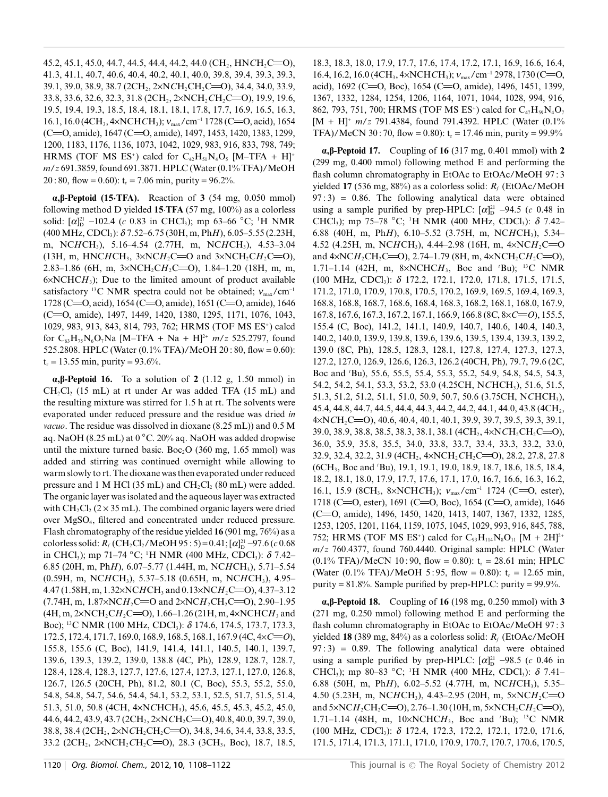45.2, 45.1, 45.0, 44.7, 44.5, 44.4, 44.2, 44.0 (CH<sub>2</sub>, HNCH<sub>2</sub>C=O), 41.3, 41.1, 40.7, 40.6, 40.4, 40.2, 40.1, 40.0, 39.8, 39.4, 39.3, 39.3, 39.1, 39.0, 38.9, 38.7 (2CH<sub>2</sub>, 2×NCH<sub>2</sub>CH<sub>2</sub>C=O), 34.4, 34.0, 33.9, 33.8, 33.6, 32.6, 32.3, 31.8 (2CH<sub>2</sub>, 2×NCH<sub>2</sub>CH<sub>2</sub>C=O), 19.9, 19.6, 19.5, 19.4, 19.3, 18.5, 18.4, 18.1, 18.1, 17.8, 17.7, 16.9, 16.5, 16.3, 16.1, 16.0 (4CH<sub>3</sub>, 4×NCHCH<sub>3</sub>);  $v_{\text{max}}$ /cm<sup>-1</sup> 1728 (C=O, acid), 1654 (C=O, amide), 1647 (C=O, amide), 1497, 1453, 1420, 1383, 1299, 1200, 1183, 1176, 1136, 1073, 1042, 1029, 983, 916, 833, 798, 749; HRMS (TOF MS ES<sup>+</sup>) calcd for  $C_{42}H_{51}N_4O_5$  [M-TFA + H]<sup>+</sup> m/z 691.3859, found 691.3871. HPLC (Water (0.1% TFA)/MeOH 20:80, flow = 0.60):  $t_r = 7.06$  min, purity = 96.2%.

 $\alpha$ ,  $\beta$ -Peptoid (15.TFA). Reaction of 3 (54 mg, 0.050 mmol) following method D yielded 15.TFA  $(57 \text{ mg}, 100\%)$  as a colorless solid:  $[\alpha]_D^{21}$  -102.4 (c 0.83 in CHCl<sub>3</sub>); mp 63–66 °C; <sup>1</sup>H NMR  $(400 \text{ MHz}, \text{CDC1}_3)$ :  $\delta$  7.52–6.75 (30H, m, PhH), 6.05–5.55 (2.23H, m, NCHCH<sub>3</sub>), 5.16–4.54 (2.77H, m, NCHCH<sub>3</sub>), 4.53–3.04 (13H, m, HNCHCH<sub>3</sub>,  $3 \times NCH_2C = 0$  and  $3 \times NCH_2CH_2C = 0$ ), 2.83-1.86 (6H, m,  $3 \times NCH_2CH_2C=O$ ), 1.84-1.20 (18H, m, m,  $6 \times NCHCH_3$ ; Due to the limited amount of product available satisfactory <sup>13</sup>C NMR spectra could not be obtained;  $v_{\text{max}}/cm^{-1}$ 1728 (C=O, acid), 1654 (C=O, amide), 1651 (C=O, amide), 1646 (C=0, amide), 1497, 1449, 1420, 1380, 1295, 1171, 1076, 1043, 1029, 983, 913, 843, 814, 793, 762; HRMS (TOF MS ES<sup>+</sup>) calcd for C<sub>63</sub>H<sub>75</sub>N<sub>6</sub>O<sub>7</sub>Na [M-TFA + Na + H]<sup>2+</sup>  $m/z$  525.2797, found 525.2808. HPLC (Water  $(0.1\%$  TFA)/MeOH 20:80, flow = 0.60):  $t_r = 13.55$  min, purity = 93.6%.

 $\alpha$ ,  $\beta$ -Peptoid 16. To a solution of 2 (1.12 g, 1.50 mmol) in  $CH_2Cl_2$  (15 mL) at rt under Ar was added TFA (15 mL) and the resulting mixture was stirred for 1.5 h at rt. The solvents were evaporated under reduced pressure and the residue was dried in *vacuo*. The residue was dissolved in dioxane (8.25 mL)) and 0.5 M aq. NaOH (8.25 mL) at  $0^{\circ}$ C. 20% aq. NaOH was added dropwise until the mixture turned basic. Boc<sub>2</sub>O (360 mg, 1.65 mmol) was added and stirring was continued overnight while allowing to warm slowly to rt. The dioxane was then evaporated under reduced pressure and 1 M HCl (35 mL) and  $CH_2Cl_2$  (80 mL) were added. The organic layer was isolated and the aqueous layer was extracted with  $CH_2Cl_2$  (2 × 35 mL). The combined organic layers were dried over MgSO<sub>4</sub>, filtered and concentrated under reduced pressure. Flash chromatography of the residue yielded 16 (901 mg,  $76\%$ ) as a colorless solid:  $R_f$  (CH<sub>2</sub>Cl<sub>2</sub>/MeOH 95 : 5) = 0.41; [ $\alpha$ ]<sup>21</sup> – 97.6 (c 0.68 in CHCl<sub>3</sub>); mp 71–74 °C; <sup>1</sup>H NMR (400 MHz, CDCl<sub>3</sub>):  $\delta$  7.42– 6.85 (20H, m, PhH), 6.07-5.77 (1.44H, m, NCHCH<sub>3</sub>), 5.71-5.54  $(0.59H, m, NCHCH<sub>3</sub>), 5.37-5.18 (0.65H, m, NCHCH<sub>3</sub>), 4.95-$ 4.47 (1.58H, m, 1.32×NCHCH<sub>3</sub> and 0.13×NCH<sub>2</sub>C=O), 4.37–3.12  $(7.74H, m, 1.87 \times NCH_2C=O$  and  $2 \times NCH_2CH_2C=O$ ), 2.90–1.95  $(4H, m, 2 \times NCH_2CH_2C=O)$ , 1.66–1.26 (21H, m, 4×NCHCH, and Boc); <sup>13</sup>C NMR (100 MHz, CDCl<sub>3</sub>):  $\delta$  174.6, 174.5, 173.7, 173.3,  $172.5, 172.4, 171.7, 169.0, 168.9, 168.5, 168.1, 167.9$  (4C,  $4 \times C = 0$ ), 155.8, 155.6 (C, Boc), 141.9, 141.4, 141.1, 140.5, 140.1, 139.7, 139.6, 139.3, 139.2, 139.0, 138.8 (4C, Ph), 128.9, 128.7, 128.7, 128.4, 128.4, 128.3, 127.7, 127.6, 127.4, 127.3, 127.1, 127.0, 126.8, 126.7, 126.5 (20CH, Ph), 81.2, 80.1 (C, Boc), 55.3, 55.2, 55.0, 54.8, 54.8, 54.7, 54.6, 54.4, 54.1, 53.2, 53.1, 52.5, 51.7, 51.5, 51.4, 51.3, 51.0, 50.8 (4CH, 4×NCHCH<sub>3</sub>), 45.6, 45.5, 45.3, 45.2, 45.0, 44.6, 44.2, 43.9, 43.7 (2CH<sub>2</sub>, 2×NCH<sub>2</sub>C=O), 40.8, 40.0, 39.7, 39.0, 38.8, 38.4 (2CH<sub>2</sub>, 2×NCH<sub>2</sub>CH<sub>2</sub>C=O), 34.8, 34.6, 34.4, 33.8, 33.5, 33.2 (2CH<sub>2</sub>, 2xNCH<sub>2</sub>CH<sub>2</sub>C=O), 28.3 (3CH<sub>3</sub>, Boc), 18.7, 18.5,

18.3, 18.3, 18.0, 17.9, 17.7, 17.6, 17.4, 17.2, 17.1, 16.9, 16.6, 16.4, 16.4, 16.2, 16.0 (4CH<sub>3</sub>, 4×NCHCH<sub>3</sub>);  $v_{\text{max}}$ /cm<sup>-1</sup> 2978, 1730 (C=O, acid), 1692 (C=O, Boc), 1654 (C=O, amide), 1496, 1451, 1399, 1367, 1332, 1284, 1254, 1206, 1164, 1071, 1044, 1028, 994, 916, 862, 793, 751, 700; HRMS (TOF MS ES<sup>+</sup>) calcd for  $C_{47}H_{59}N_4O_7$  $[M + H]^+$  m/z 791.4384, found 791.4392. HPLC (Water  $(0.1\%$ ) TFA)/MeCN 30:70, flow = 0.80):  $t_r = 17.46$  min, purity = 99.9%

 $\alpha$ ,  $\beta$ -Peptoid 17. Coupling of 16 (317 mg, 0.401 mmol) with 2  $(299 \text{ mg}, 0.400 \text{ mmol})$  following method E and performing the flash column chromatography in EtOAc to EtOAc/MeOH 97:3 yielded 17 (536 mg, 88%) as a colorless solid:  $R_f$  (EtOAc/MeOH  $97:3$  = 0.86. The following analytical data were obtained using a sample purified by prep-HPLC:  $\lceil \alpha \rceil^2$  –94.5 (c 0.48 in CHCl<sub>3</sub>); mp 75–78 °C; <sup>1</sup>H NMR (400 MHz, CDCl<sub>3</sub>):  $\delta$  7.42– 6.88 (40H, m, PhH), 6.10–5.52 (3.75H, m, NCHCH<sub>3</sub>), 5.34– 4.52 (4.25H, m, NCHCH<sub>3</sub>), 4.44–2.98 (16H, m,  $4 \times NCH_2C = O$ and  $4 \times NCH_2CH_2C=0$ , 2.74–1.79 (8H, m,  $4 \times NCH_2CH_2C=0$ ), 1.71–1.14 (42H, m,  $8 \times NCHCH_3$ , Boc and 'Bu); <sup>13</sup>C NMR (100 MHz, CDCl<sub>3</sub>): δ 172.2, 172.1, 172.0, 171.8, 171.5, 171.5, 171.2, 171.0, 170.9, 170.8, 170.5, 170.2, 169.9, 169.5, 169.4, 169.3, 168.8, 168.8, 168.7, 168.6, 168.4, 168.3, 168.2, 168.1, 168.0, 167.9,  $167.8$ ,  $167.6$ ,  $167.3$ ,  $167.2$ ,  $167.1$ ,  $166.9$ ,  $166.8$  (8C,  $8 \times C = 0$ ),  $155.5$ , 155.4 (C, Boc), 141.2, 141.1, 140.9, 140.7, 140.6, 140.4, 140.3, 140.2, 140.0, 139.9, 139.8, 139.6, 139.6, 139.5, 139.4, 139.3, 139.2, 139.0 (8C, Ph), 128.5, 128.3, 128.1, 127.8, 127.4, 127.3, 127.3, 127.2, 127.0, 126.9, 126.6, 126.3, 126.2 (40CH, Ph), 79.7, 79.6 (2C, Boc and 'Bu), 55.6, 55.5, 55.4, 55.3, 55.2, 54.9, 54.8, 54.5, 54.3, 54.2, 54.2, 54.1, 53.3, 53.2, 53.0 (4.25CH, NCHCH<sub>3</sub>), 51.6, 51.5, 51.3, 51.2, 51.2, 51.1, 51.0, 50.9, 50.7, 50.6 (3.75CH, NCHCH<sub>3</sub>), 45.4, 44.8, 44.7, 44.5, 44.4, 44.3, 44.2, 44.2, 44.1, 44.0, 43.8 (4CH<sub>2</sub>, 4×NCH<sub>2</sub>C=O), 40.6, 40.4, 40.1, 40.1, 39.9, 39.7, 39.5, 39.3, 39.1, 39.0, 38.9, 38.8, 38.5, 38.3, 38.1, 38.1 (4CH<sub>2</sub>, 4×NCH<sub>2</sub>CH<sub>2</sub>C=O), 36.0, 35.9, 35.8, 35.5, 34.0, 33.8, 33.7, 33.4, 33.3, 33.2, 33.0, 32.9, 32.4, 32.2, 31.9 (4CH<sub>2</sub>, 4×NCH<sub>2</sub>CH<sub>2</sub>C=O), 28.2, 27.8, 27.8 (6CH<sub>3</sub>, Boc and 'Bu), 19.1, 19.1, 19.0, 18.9, 18.7, 18.6, 18.5, 18.4, 18.2, 18.1, 18.0, 17.9, 17.7, 17.6, 17.1, 17.0, 16.7, 16.6, 16.3, 16.2, 16.1, 15.9 (8CH<sub>3</sub>, 8×NCHCH<sub>3</sub>);  $v_{\text{max}}/\text{cm}^{-1}$  1724 (C=O, ester), 1718 (C=O, ester), 1691 (C=O, Boc), 1654 (C=O, amide), 1646 (C=0, amide), 1496, 1450, 1420, 1413, 1407, 1367, 1332, 1285, 1253, 1205, 1201, 1164, 1159, 1075, 1045, 1029, 993, 916, 845, 788, 752; HRMS (TOF MS ES<sup>+</sup>) calcd for  $C_{93}H_{114}N_8O_{11}$  [M + 2H]<sup>2+</sup>  $m/z$  760.4377, found 760.4440. Original sample: HPLC (Water  $(0.1\% \text{ TFA})/$ MeCN 10:90, flow = 0.80): t<sub>r</sub> = 28.61 min; HPLC (Water  $(0.1\% \text{ TFA})/ \text{MeOH} 5:95$ , flow = 0.80):  $t_r = 12.65 \text{ min}$ , purity =  $81.8\%$ . Sample purified by prep-HPLC: purity =  $99.9\%$ .

 $\alpha$ ,  $\beta$ -Peptoid 18. Coupling of 16 (198 mg, 0.250 mmol) with 3  $(271 \text{ mg}, 0.250 \text{ mmol})$  following method E and performing the flash column chromatography in EtOAc to EtOAc/MeOH 97:3 yielded 18 (389 mg, 84%) as a colorless solid:  $R_f$  (EtOAc/MeOH  $97:3$  = 0.89. The following analytical data were obtained using a sample purified by prep-HPLC:  $[\alpha]_D^{21}$  -98.5 (c 0.46 in CHCl<sub>3</sub>); mp 80–83 °C; <sup>1</sup>H NMR (400 MHz, CDCl<sub>3</sub>):  $\delta$  7.41– 6.88 (50H, m, PhH), 6.02–5.52 (4.77H, m, NCHCH<sub>3</sub>), 5.35– 4.50 (5.23H, m, NCHCH<sub>3</sub>), 4.43–2.95 (20H, m, 5×NCH<sub>2</sub>C=O and  $5 \times NCH_2CH_2C = 0$ , 2.76-1.30 (10H, m,  $5 \times NCH_2CH_2C = 0$ ), 1.71–1.14 (48H, m,  $10 \times NCHCH_3$ , Boc and 'Bu); <sup>13</sup>C NMR (100 MHz, CDCl<sub>3</sub>): δ 172.4, 172.3, 172.2, 172.1, 172.0, 171.6, 171.5, 171.4, 171.3, 171.1, 171.0, 170.9, 170.7, 170.7, 170.6, 170.5,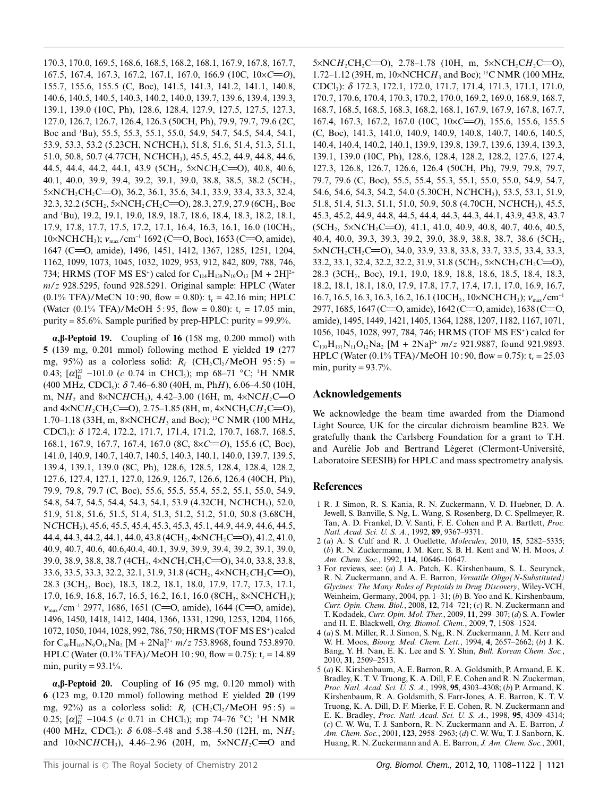170.3, 170.0, 169.5, 168.6, 168.5, 168.2, 168.1, 167.9, 167.8, 167.7, 167.5, 167.4, 167.3, 167.2, 167.1, 167.0, 166.9 (10C,  $10 \times C = 0$ ), 155.7, 155.6, 155.5 (C, Boc), 141.5, 141.3, 141.2, 141.1, 140.8, 140.6, 140.5, 140.5, 140.3, 140.2, 140.0, 139.7, 139.6, 139.4, 139.3, 139.1, 139.0 (10C, Ph), 128.6, 128.4, 127.9, 127.5, 127.5, 127.3, 127.0, 126.7, 126.7, 126.4, 126.3 (50CH, Ph), 79.9, 79.7, 79.6 (2C, Boc and 'Bu), 55.5, 55.3, 55.1, 55.0, 54.9, 54.7, 54.5, 54.4, 54.1, 53.9, 53.3, 53.2 (5.23CH, NCHCH<sub>3</sub>), 51.8, 51.6, 51.4, 51.3, 51.1, 51.0, 50.8, 50.7 (4.77CH, NCHCH<sub>3</sub>), 45.5, 45.2, 44.9, 44.8, 44.6, 44.5, 44.4, 44.2, 44.1, 43.9 (5CH<sub>2</sub>, 5×NCH<sub>2</sub>C=O), 40.8, 40.6, 40.1, 40.0, 39.9, 39.4, 39.2, 39.1, 39.0, 38.8, 38.5, 38.2 (5CH<sub>2</sub>,  $5 \times NCH_2CH_2C = 0$ , 36.2, 36.1, 35.6, 34.1, 33.9, 33.4, 33.3, 32.4, 32.3, 32.2 (5CH<sub>2</sub>, 5×NCH<sub>2</sub>CH<sub>2</sub>C=O), 28.3, 27.9, 27.9 (6CH<sub>3</sub>, Boc and 'Bu), 19.2, 19.1, 19.0, 18.9, 18.7, 18.6, 18.4, 18.3, 18.2, 18.1, 17.9, 17.8, 17.7, 17.5, 17.2, 17.1, 16.4, 16.3, 16.1, 16.0 (10CH<sub>3</sub>,  $10 \times NCHCH_3$ ;  $v_{\text{max}}/cm^{-1}$  1692 (C=O, Boc), 1653 (C=O, amide), 1647 (C=O, amide), 1496, 1451, 1412, 1367, 1285, 1251, 1204, 1162, 1099, 1073, 1045, 1032, 1029, 953, 912, 842, 809, 788, 746, 734; HRMS (TOF MS ES<sup>+</sup>) calcd for C<sub>114</sub>H<sub>139</sub>N<sub>10</sub>O<sub>13</sub> [M + 2H]<sup>2+</sup>  $m/z$  928.5295, found 928.5291. Original sample: HPLC (Water  $(0.1\% \text{ TFA})/\text{MeCN } 10:90$ , flow = 0.80): t<sub>r</sub> = 42.16 min; HPLC (Water  $(0.1\% \text{ TFA})/ \text{MeOH} 5:95$ , flow = 0.80): t<sub>r</sub> = 17.05 min, purity =  $85.6\%$ . Sample purified by prep-HPLC: purity =  $99.9\%$ .

 $\alpha$ ,  $\beta$ -Peptoid 19. Coupling of 16 (158 mg, 0.200 mmol) with 5 (139 mg, 0.201 mmol) following method E yielded  $19$  (277 mg, 95%) as a colorless solid:  $R_f$  (CH<sub>2</sub>Cl<sub>2</sub>/MeOH 95:5) = 0.43;  $[\alpha]_D^{22}$  -101.0 (c 0.74 in CHCl<sub>3</sub>); mp 68–71 °C; <sup>1</sup>H NMR  $(400 \text{ MHz}, \text{CDCl}_3)$ :  $\delta$  7.46–6.80 (40H, m, PhH), 6.06–4.50 (10H, m, NH<sub>2</sub> and 8×NCHCH<sub>3</sub>), 4.42–3.00 (16H, m, 4×NCH<sub>2</sub>C=O and  $4 \times NCH_2CH_2C=0$ , 2.75–1.85 (8H, m,  $4 \times NCH_2CH_2C=0$ ), 1.70–1.18 (33H, m, 8×NCHCH<sub>3</sub> and Boc); <sup>13</sup>C NMR (100 MHz, CDCl<sub>3</sub>):  $\delta$  172.4, 172.2, 171.7, 171.4, 171.2, 170.7, 168.7, 168.5, 168.1, 167.9, 167.7, 167.4, 167.0 (8C, 8×C=O), 155.6 (C, Boc), 141.0, 140.9, 140.7, 140.7, 140.5, 140.3, 140.1, 140.0, 139.7, 139.5, 139.4, 139.1, 139.0 (8C, Ph), 128.6, 128.5, 128.4, 128.4, 128.2, 127.6, 127.4, 127.1, 127.0, 126.9, 126.7, 126.6, 126.4 (40CH, Ph), 79.9, 79.8, 79.7 (C, Boc), 55.6, 55.5, 55.4, 55.2, 55.1, 55.0, 54.9, 54.8, 54.7, 54.5, 54.4, 54.3, 54.1, 53.9 (4.32CH, NCHCH<sub>3</sub>), 52.0, 51.9, 51.8, 51.6, 51.5, 51.4, 51.3, 51.2, 51.2, 51.0, 50.8 (3.68CH, NCHCH<sub>3</sub>), 45.6, 45.5, 45.4, 45.3, 45.3, 45.1, 44.9, 44.9, 44.6, 44.5, 44.4, 44.3, 44.2, 44.1, 44.0, 43.8 (4CH<sub>2</sub>, 4×NCH<sub>2</sub>C=O), 41.2, 41.0, 40.9, 40.7, 40.6, 40.6, 40.4, 40.1, 39.9, 39.9, 39.4, 39.2, 39.1, 39.0, 39.0, 38.9, 38.8, 38.7 (4CH<sub>2</sub>, 4×NCH<sub>2</sub>CH<sub>2</sub>C=O), 34.0, 33.8, 33.8, 33.6, 33.5, 33.3, 32.2, 32.1, 31.9, 31.8 (4CH<sub>2</sub>, 4×NCH<sub>2</sub>CH<sub>2</sub>C=O), 28.3 (3CH<sub>3</sub>, Boc), 18.3, 18.2, 18.1, 18.0, 17.9, 17.7, 17.3, 17.1, 17.0, 16.9, 16.8, 16.7, 16.5, 16.2, 16.1, 16.0 (8CH<sub>3</sub>, 8×NCHCH<sub>3</sub>);  $v_{\text{max}}/\text{cm}^{-1}$  2977, 1686, 1651 (C=O, amide), 1644 (C=O, amide), 1496, 1450, 1418, 1412, 1404, 1366, 1331, 1290, 1253, 1204, 1166, 1072, 1050, 1044, 1028, 992, 786, 750; HRMS (TOF MS ES<sup>+</sup>) calcd for  $C_{89}H_{107}N_9O_{10}Na_2 [M + 2Na]^{2+} m/z 753.8968$ , found 753.8970. HPLC (Water (0.1% TFA)/MeOH 10:90, flow = 0.75):  $t_r = 14.89$ min, purity =  $93.1\%$ .

 $\alpha$ ,  $\beta$ -Peptoid 20. Coupling of 16 (95 mg, 0.120 mmol) with  $6$  (123 mg, 0.120 mmol) following method E yielded  $20$  (199 mg, 92%) as a colorless solid:  $R_f$  (CH<sub>2</sub>Cl<sub>2</sub>/MeOH 95:5) = 0.25;  $\lbrack \alpha \rbrack_{D}^{22}$  -104.5 (c 0.71 in CHCl<sub>3</sub>); mp 74–76 °C; <sup>1</sup>H NMR (400 MHz, CDCl<sub>3</sub>):  $\delta$  6.08–5.48 and 5.38–4.50 (12H, m, NH<sub>2</sub> and  $10 \times NCHCH_3$ ), 4.46-2.96 (20H, m,  $5 \times NCH_2C = 0$  and  $5 \times NCH_2CH_2C=O$ , 2.78-1.78 (10H, m,  $5 \times NCH_2CH_2C=O$ ), 1.72–1.12 (39H, m,  $10 \times \text{NCHCH}_3$  and Boc); <sup>13</sup>C NMR (100 MHz, CDCl<sub>3</sub>:  $\delta$  172.3, 172.1, 172.0, 171.7, 171.4, 171.3, 171.1, 171.0, 170.7, 170.6, 170.4, 170.3, 170.2, 170.0, 169.2, 169.0, 168.9, 168.7, 168.7, 168.5, 168.5, 168.3, 168.2, 168.1, 167.9, 167.9, 167.8, 167.7, 167.4, 167.3, 167.2, 167.0 (10C,  $10 \times C = 0$ ), 155.6, 155.6, 155.5 (C, Boc), 141.3, 141.0, 140.9, 140.9, 140.8, 140.7, 140.6, 140.5, 140.4, 140.4, 140.2, 140.1, 139.9, 139.8, 139.7, 139.6, 139.4, 139.3, 139.1, 139.0 (10C, Ph), 128.6, 128.4, 128.2, 128.2, 127.6, 127.4, 127.3, 126.8, 126.7, 126.6, 126.4 (50CH, Ph), 79.9, 79.8, 79.7, 79.7, 79.6 (C, Boc), 55.5, 55.4, 55.3, 55.1, 55.0, 55.0, 54.9, 54.7, 54.6, 54.6, 54.3, 54.2, 54.0 (5.30CH, NCHCH<sub>3</sub>), 53.5, 53.1, 51.9, 51.8, 51.4, 51.3, 51.1, 51.0, 50.9, 50.8 (4.70CH, NCHCH<sub>3</sub>), 45.5, 45.3, 45.2, 44.9, 44.8, 44.5, 44.4, 44.3, 44.3, 44.1, 43.9, 43.8, 43.7  $(5CH_2, 5\times NCH_2C=0), 41.1, 41.0, 40.9, 40.8, 40.7, 40.6, 40.5,$ 40.4, 40.0, 39.3, 39.3, 39.2, 39.0, 38.9, 38.8, 38.7, 38.6 (5CH<sub>2</sub>,  $5 \times NCH_2CH_2C = 0$ , 34.0, 33.9, 33.8, 33.8, 33.7, 33.5, 33.4, 33.3, 33.2, 33.1, 32.4, 32.2, 32.2, 31.9, 31.8 (5CH<sub>2</sub>, 5×NCH<sub>2</sub>CH<sub>2</sub>C=O), 28.3 (3CH<sub>3</sub>, Boc), 19.1, 19.0, 18.9, 18.8, 18.6, 18.5, 18.4, 18.3, 18.2, 18.1, 18.1, 18.0, 17.9, 17.8, 17.7, 17.4, 17.1, 17.0, 16.9, 16.7, 16.7, 16.5, 16.3, 16.3, 16.2, 16.1 (10CH<sub>3</sub>, 10×NCHCH<sub>3</sub>);  $v_{\text{max}}/\text{cm}^{-1}$ 2977, 1685, 1647 (C=O, amide), 1642 (C=O, amide), 1638 (C=O, amide), 1495, 1449, 1421, 1405, 1364, 1288, 1207, 1182, 1167, 1071, 1056, 1045, 1028, 997, 784, 746; HRMS (TOF MS ES<sup>+</sup>) calcd for  $C_{110}H_{131}N_{11}O_{12}Na_2$  [M + 2Na]<sup>2+</sup>  $m/z$  921.9887, found 921.9893. HPLC (Water  $(0.1\% \text{ TFA})/$  MeOH  $10:90$ , flow = 0.75):  $t_r = 25.03$ min, purity =  $93.7\%$ .

#### **Acknowledgements**

We acknowledge the beam time awarded from the Diamond Light Source, UK for the circular dichroism beamline B23. We gratefully thank the Carlsberg Foundation for a grant to T.H. and Aurélie Job and Bertrand Légeret (Clermont-Université, Laboratoire SEESIB) for HPLC and mass spectrometry analysis.

#### **References**

- 1 R. J. Simon, R. S. Kania, R. N. Zuckermann, V. D. Huebner, D. A. Jewell, S. Banville, S. Ng, L. Wang, S. Rosenberg, D. C. Spellmeyer, R. Tan, A. D. Frankel, D. V. Santi, F. E. Cohen and P. A. Bartlett, Proc. Natl. Acad. Sci. U. S. A., 1992, 89, 9367-9371.
- 2 (a) A. S. Culf and R. J. Ouellette, Molecules, 2010, 15, 5282-5335; (b) R. N. Zuckermann, J. M. Kerr, S. B. H. Kent and W. H. Moos, J. Am. Chem. Soc., 1992, 114, 10646-10647.
- 3 For reviews, see: (a) J. A. Patch, K. Kirshenbaum, S. L. Seurynck, R. N. Zuckermann, and A. E. Barron, Versatile Oligo (N-Substituted) Glycines: The Many Roles of Peptoids in Drug Discovery, Wiley-VCH, Weinheim, Germany, 2004, pp. 1-31; (b) B. Yoo and K. Kirshenbaum, Curr. Opin. Chem. Biol., 2008, 12, 714-721; (c) R. N. Zuckermann and T. Kodadek, Curr. Opin. Mol. Ther., 2009, 11, 299-307; (d) S. A. Fowler and H. E. Blackwell, Org. Biomol. Chem., 2009, 7, 1508-1524.
- 4 (a) S. M. Miller, R. J. Simon, S. Ng, R. N. Zuckermann, J. M. Kerr and W. H. Moos, Bioorg. Med. Chem. Lett., 1994, 4, 2657-2662; (b) J. K. Bang, Y. H. Nan, E. K. Lee and S. Y. Shin, Bull. Korean Chem. Soc., 2010, 31, 2509-2513.
- 5 (a) K. Kirshenbaum, A. E. Barron, R. A. Goldsmith, P. Armand, E. K. Bradley, K. T. V. Truong, K. A. Dill, F. E. Cohen and R. N. Zuckerman, Proc. Natl. Acad. Sci. U. S. A., 1998, 95, 4303-4308; (b) P. Armand, K. Kirshenbaum, R. A. Goldsmith, S. Farr-Jones, A. E. Barron, K. T. V. Truong, K. A. Dill, D. F. Mierke, F. E. Cohen, R. N. Zuckermann and E. K. Bradley, Proc. Natl. Acad. Sci. U. S. A., 1998, 95, 4309-4314; (c) C. W. Wu, T. J. Sanborn, R. N. Zuckermann and A. E. Barron, J. Am. Chem. Soc., 2001, 123, 2958-2963; (d) C. W. Wu, T. J. Sanborn, K. Huang, R. N. Zuckermann and A. E. Barron, J. Am. Chem. Soc., 2001,